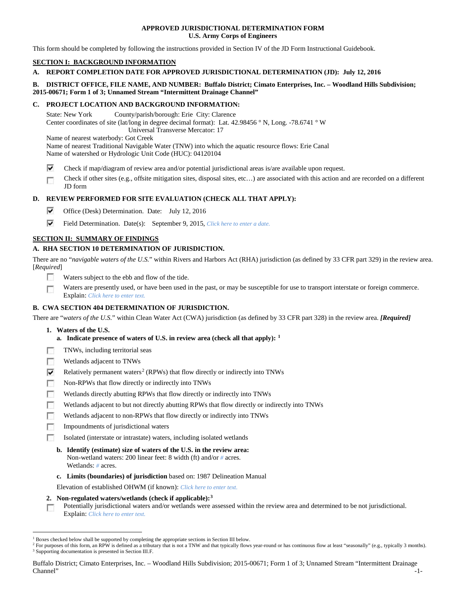### **APPROVED JURISDICTIONAL DETERMINATION FORM U.S. Army Corps of Engineers**

This form should be completed by following the instructions provided in Section IV of the JD Form Instructional Guidebook.

# **SECTION I: BACKGROUND INFORMATION**

## **A. REPORT COMPLETION DATE FOR APPROVED JURISDICTIONAL DETERMINATION (JD): July 12, 2016**

## **B. DISTRICT OFFICE, FILE NAME, AND NUMBER: Buffalo District; Cimato Enterprises, Inc. – Woodland Hills Subdivision; 2015-00671; Form 1 of 3; Unnamed Stream "Intermittent Drainage Channel"**

### **C. PROJECT LOCATION AND BACKGROUND INFORMATION:**

State: New York County/parish/borough: Erie City: Clarence Center coordinates of site (lat/long in degree decimal format): Lat. 42.98456 ° N, Long. -78.6741 ° W Universal Transverse Mercator: 17 Name of nearest waterbody: Got Creek

Name of nearest Traditional Navigable Water (TNW) into which the aquatic resource flows: Erie Canal Name of watershed or Hydrologic Unit Code (HUC): 04120104

- ⊽ Check if map/diagram of review area and/or potential jurisdictional areas is/are available upon request.
- Check if other sites (e.g., offsite mitigation sites, disposal sites, etc…) are associated with this action and are recorded on a different Г JD form

# **D. REVIEW PERFORMED FOR SITE EVALUATION (CHECK ALL THAT APPLY):**

- ⊽ Office (Desk) Determination. Date: July 12, 2016
- ⊽ Field Determination. Date(s): September 9, 2015, *Click here to enter a date.*

## **SECTION II: SUMMARY OF FINDINGS**

# **A. RHA SECTION 10 DETERMINATION OF JURISDICTION.**

There are no "*navigable waters of the U.S.*" within Rivers and Harbors Act (RHA) jurisdiction (as defined by 33 CFR part 329) in the review area. [*Required*]

- **IST** Waters subject to the ebb and flow of the tide.
- Waters are presently used, or have been used in the past, or may be susceptible for use to transport interstate or foreign commerce. Г Explain: *Click here to enter text.*

## **B. CWA SECTION 404 DETERMINATION OF JURISDICTION.**

There are "*waters of the U.S.*" within Clean Water Act (CWA) jurisdiction (as defined by 33 CFR part 328) in the review area. *[Required]*

- **1. Waters of the U.S.**
	- **a. Indicate presence of waters of U.S. in review area (check all that apply): [1](#page-0-0)**
- п TNWs, including territorial seas
- Wetlands adjacent to TNWs п
- ⊽ Relatively permanent waters<sup>[2](#page-0-1)</sup> (RPWs) that flow directly or indirectly into TNWs
- г Non-RPWs that flow directly or indirectly into TNWs
- Wetlands directly abutting RPWs that flow directly or indirectly into TNWs п
- г Wetlands adjacent to but not directly abutting RPWs that flow directly or indirectly into TNWs
- г Wetlands adjacent to non-RPWs that flow directly or indirectly into TNWs
- п Impoundments of jurisdictional waters
- Isolated (interstate or intrastate) waters, including isolated wetlands n.
	- **b. Identify (estimate) size of waters of the U.S. in the review area:** Non-wetland waters: 200 linear feet: 8 width (ft) and/or *#* acres. Wetlands: *#* acres.
	- **c. Limits (boundaries) of jurisdiction** based on: 1987 Delineation Manual

Elevation of established OHWM (if known): *Click here to enter text.*

**2. Non-regulated waters/wetlands (check if applicable):[3](#page-0-2)**

Potentially jurisdictional waters and/or wetlands were assessed within the review area and determined to be not jurisdictional. T. Explain: *Click here to enter text.*

Buffalo District; Cimato Enterprises, Inc. – Woodland Hills Subdivision; 2015-00671; Form 1 of 3; Unnamed Stream "Intermittent Drainage Channel" -1-

<span id="page-0-0"></span><sup>&</sup>lt;sup>1</sup> Boxes checked below shall be supported by completing the appropriate sections in Section III below.

<span id="page-0-2"></span><span id="page-0-1"></span><sup>&</sup>lt;sup>2</sup> For purposes of this form, an RPW is defined as a tributary that is not a TNW and that typically flows year-round or has continuous flow at least "seasonally" (e.g., typically 3 months). <sup>3</sup> Supporting documentation is presented in Section III.F.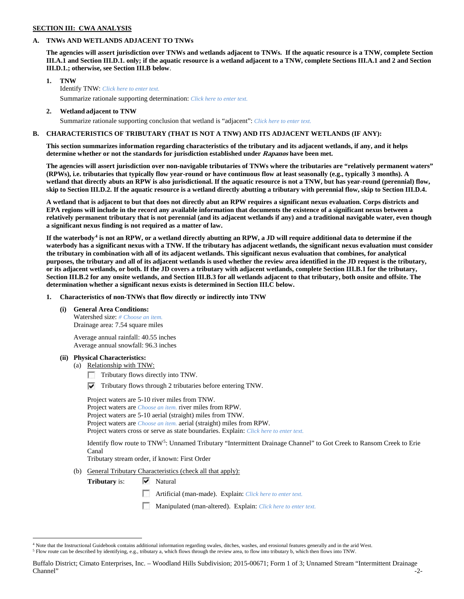### **SECTION III: CWA ANALYSIS**

**2. Wetland adjacent to TNW**

### **A. TNWs AND WETLANDS ADJACENT TO TNWs**

**The agencies will assert jurisdiction over TNWs and wetlands adjacent to TNWs. If the aquatic resource is a TNW, complete Section III.A.1 and Section III.D.1. only; if the aquatic resource is a wetland adjacent to a TNW, complete Sections III.A.1 and 2 and Section III.D.1.; otherwise, see Section III.B below**.

- **1. TNW**  Identify TNW: *Click here to enter text.*
	- Summarize rationale supporting determination: *Click here to enter text.*
	- Summarize rationale supporting conclusion that wetland is "adjacent": *Click here to enter text.*

### **B. CHARACTERISTICS OF TRIBUTARY (THAT IS NOT A TNW) AND ITS ADJACENT WETLANDS (IF ANY):**

**This section summarizes information regarding characteristics of the tributary and its adjacent wetlands, if any, and it helps determine whether or not the standards for jurisdiction established under Rapanos have been met.** 

**The agencies will assert jurisdiction over non-navigable tributaries of TNWs where the tributaries are "relatively permanent waters" (RPWs), i.e. tributaries that typically flow year-round or have continuous flow at least seasonally (e.g., typically 3 months). A wetland that directly abuts an RPW is also jurisdictional. If the aquatic resource is not a TNW, but has year-round (perennial) flow, skip to Section III.D.2. If the aquatic resource is a wetland directly abutting a tributary with perennial flow, skip to Section III.D.4.**

**A wetland that is adjacent to but that does not directly abut an RPW requires a significant nexus evaluation. Corps districts and EPA regions will include in the record any available information that documents the existence of a significant nexus between a relatively permanent tributary that is not perennial (and its adjacent wetlands if any) and a traditional navigable water, even though a significant nexus finding is not required as a matter of law.**

**If the waterbody[4](#page-1-0) is not an RPW, or a wetland directly abutting an RPW, a JD will require additional data to determine if the waterbody has a significant nexus with a TNW. If the tributary has adjacent wetlands, the significant nexus evaluation must consider the tributary in combination with all of its adjacent wetlands. This significant nexus evaluation that combines, for analytical purposes, the tributary and all of its adjacent wetlands is used whether the review area identified in the JD request is the tributary, or its adjacent wetlands, or both. If the JD covers a tributary with adjacent wetlands, complete Section III.B.1 for the tributary, Section III.B.2 for any onsite wetlands, and Section III.B.3 for all wetlands adjacent to that tributary, both onsite and offsite. The determination whether a significant nexus exists is determined in Section III.C below.**

**1. Characteristics of non-TNWs that flow directly or indirectly into TNW**

**(i) General Area Conditions:**

Watershed size: *# Choose an item.* Drainage area: 7.54 square miles

Average annual rainfall: 40.55 inches Average annual snowfall: 96.3 inches

#### **(ii) Physical Characteristics:**

- (a) Relationship with TNW:
	- Tributary flows directly into TNW.
	- $\triangledown$  Tributary flows through 2 tributaries before entering TNW.

Project waters are 5-10 river miles from TNW. Project waters are *Choose an item.* river miles from RPW. Project waters are 5-10 aerial (straight) miles from TNW. Project waters are *Choose an item.* aerial (straight) miles from RPW. Project waters cross or serve as state boundaries. Explain: *Click here to enter text.*

Identify flow route to TNW[5:](#page-1-1) Unnamed Tributary "Intermittent Drainage Channel" to Got Creek to Ransom Creek to Erie Canal

Tributary stream order, if known: First Order

(b) General Tributary Characteristics (check all that apply):

**Tributary** is: **▼** Natural

- Artificial (man-made). Explain: *Click here to enter text.*
- Manipulated (man-altered). Explain: *Click here to enter text.*

Buffalo District; Cimato Enterprises, Inc. – Woodland Hills Subdivision; 2015-00671; Form 1 of 3; Unnamed Stream "Intermittent Drainage  $\blacksquare$  -2- $\blacksquare$  -2- $\blacksquare$ 

<span id="page-1-0"></span><sup>&</sup>lt;sup>4</sup> Note that the Instructional Guidebook contains additional information regarding swales, ditches, washes, and erosional features generally and in the arid West.

<span id="page-1-1"></span><sup>5</sup> Flow route can be described by identifying, e.g., tributary a, which flows through the review area, to flow into tributary b, which then flows into TNW.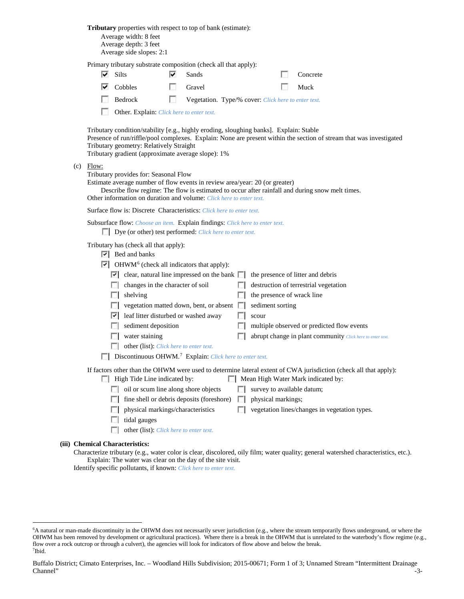**Tributary** properties with respect to top of bank (estimate):

| Average width: 8 feet    |
|--------------------------|
| Average depth: 3 feet    |
| Average side slopes: 2:1 |

Primary tributary substrate composition (check all that apply):

| $\blacktriangleright$ Silts        | $\vee$ Sands                                        | Concrete    |
|------------------------------------|-----------------------------------------------------|-------------|
| $\overline{\triangledown}$ Cobbles | <b>Cravel</b>                                       | $\Box$ Muck |
| $\Box$ Bedrock                     | Vegetation. Type/% cover: Click here to enter text. |             |

Other. Explain: *Click here to enter text.*

Tributary condition/stability [e.g., highly eroding, sloughing banks]. Explain: Stable Presence of run/riffle/pool complexes. Explain: None are present within the section of stream that was investigated Tributary geometry: Relatively Straight Tributary gradient (approximate average slope): 1%

 $(c)$  Flow:

Tributary provides for: Seasonal Flow

Estimate average number of flow events in review area/year: 20 (or greater) Describe flow regime: The flow is estimated to occur after rainfall and during snow melt times. Other information on duration and volume: *Click here to enter text.*

Surface flow is: Discrete Characteristics: *Click here to enter text.*

| Subsurface flow: Choose an item. Explain findings: Click here to enter text. |  |  |
|------------------------------------------------------------------------------|--|--|
|------------------------------------------------------------------------------|--|--|

Dye (or other) test performed: *Click here to enter text.*

Tributary has (check all that apply):

- $\triangleright$  Bed and banks
- $\triangleright$  OHWM<sup>[6](#page-2-0)</sup> (check all indicators that apply):

|                 | $\vert \cdot \vert$ clear, natural line impressed on the bank $\vert \cdot \vert$ the presence of litter and debris |                                                            |
|-----------------|---------------------------------------------------------------------------------------------------------------------|------------------------------------------------------------|
| $\sim$          | changes in the character of soil                                                                                    | $\Box$ destruction of terrestrial vegetation               |
| <b>Contract</b> | shelving                                                                                                            | $\Box$ the presence of wrack line                          |
|                 | $\Box$ vegetation matted down, bent, or absent $\Box$ sediment sorting                                              |                                                            |
|                 | $\vert \cdot \vert$ leaf litter disturbed or washed away                                                            | scour                                                      |
|                 | $\Box$ sediment deposition                                                                                          | $\Box$ multiple observed or predicted flow events          |
|                 | water staining                                                                                                      | abrupt change in plant community Click here to enter text. |

- 
- other (list): *Click here to enter text.*
- Discontinuous OHWM.<sup>7</sup> Explain: *Click here to enter text.*

If factors other than the OHWM were used to determine lateral extent of CWA jurisdiction (check all that apply):

- $\Box$  High Tide Line indicated by:  $\Box$  Mean High Water Mark indicated by:
	- oil or scum line along shore objects  $\Box$  survey to available datum;
	- $\Box$  fine shell or debris deposits (foreshore)  $\Box$  physical markings;
	- $\Box$  physical markings/characteristics  $\Box$  vegetation lines/changes in vegetation types.
	- $\Box$  tidal gauges
	- other (list): *Click here to enter text.*

#### **(iii) Chemical Characteristics:**

Characterize tributary (e.g., water color is clear, discolored, oily film; water quality; general watershed characteristics, etc.). Explain: The water was clear on the day of the site visit.

Identify specific pollutants, if known: *Click here to enter text.*

<span id="page-2-1"></span><span id="page-2-0"></span> <sup>6</sup> <sup>6</sup>A natural or man-made discontinuity in the OHWM does not necessarily sever jurisdiction (e.g., where the stream temporarily flows underground, or where the OHWM has been removed by development or agricultural practices). Where there is a break in the OHWM that is unrelated to the waterbody's flow regime (e.g., flow over a rock outcrop or through a culvert), the agencies will look for indicators of flow above and below the break. 7 Ibid.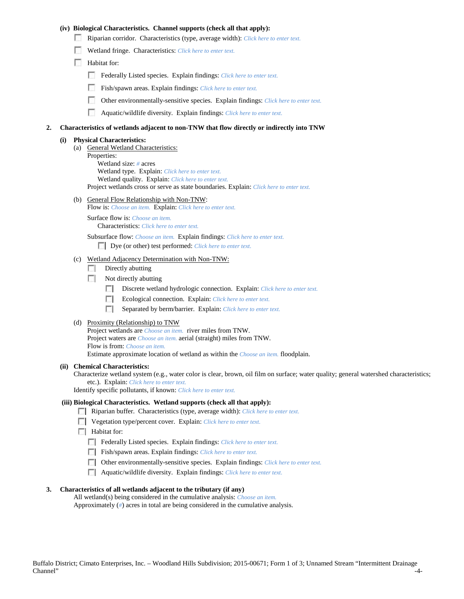### **(iv) Biological Characteristics. Channel supports (check all that apply):**

- Riparian corridor. Characteristics (type, average width): *Click here to enter text.*
- Wetland fringe. Characteristics: *Click here to enter text.*
- Habitat for:
	- Federally Listed species. Explain findings: *Click here to enter text.*
	- Fish/spawn areas. Explain findings: *Click here to enter text.*
	- Other environmentally-sensitive species. Explain findings: *Click here to enter text.* m.
	- n Aquatic/wildlife diversity. Explain findings: *Click here to enter text.*

#### **2. Characteristics of wetlands adjacent to non-TNW that flow directly or indirectly into TNW**

#### **(i) Physical Characteristics:**

- (a) General Wetland Characteristics:
	- Properties:

Wetland size: *#* acres Wetland type. Explain: *Click here to enter text.*

Wetland quality. Explain: *Click here to enter text.*

Project wetlands cross or serve as state boundaries. Explain: *Click here to enter text.*

(b) General Flow Relationship with Non-TNW: Flow is: *Choose an item.* Explain: *Click here to enter text.*

Surface flow is: *Choose an item.* Characteristics: *Click here to enter text.*

Subsurface flow: *Choose an item.* Explain findings: *Click here to enter text.*

Dye (or other) test performed: *Click here to enter text.*

#### (c) Wetland Adjacency Determination with Non-TNW:

- $\Box$  Directly abutting
- Not directly abutting
	- 100 Discrete wetland hydrologic connection. Explain: *Click here to enter text.*
	- Ecological connection. Explain: *Click here to enter text.* **The Company**
	- $\sim$ Separated by berm/barrier. Explain: *Click here to enter text.*
- (d) Proximity (Relationship) to TNW

Project wetlands are *Choose an item.* river miles from TNW. Project waters are *Choose an item.* aerial (straight) miles from TNW. Flow is from: *Choose an item.* Estimate approximate location of wetland as within the *Choose an item.* floodplain.

#### **(ii) Chemical Characteristics:**

Characterize wetland system (e.g., water color is clear, brown, oil film on surface; water quality; general watershed characteristics; etc.). Explain: *Click here to enter text.*

Identify specific pollutants, if known: *Click here to enter text.*

### **(iii) Biological Characteristics. Wetland supports (check all that apply):**

- Riparian buffer. Characteristics (type, average width): *Click here to enter text.*
- Vegetation type/percent cover. Explain: *Click here to enter text.*
- $\Box$  Habitat for:
	- Federally Listed species. Explain findings: *Click here to enter text*.
	- Fish/spawn areas. Explain findings: *Click here to enter text.*
	- Other environmentally-sensitive species. Explain findings: *Click here to enter text.*
	- Aquatic/wildlife diversity. Explain findings: *Click here to enter text.*

#### **3. Characteristics of all wetlands adjacent to the tributary (if any)**

All wetland(s) being considered in the cumulative analysis: *Choose an item.* Approximately (*#*) acres in total are being considered in the cumulative analysis.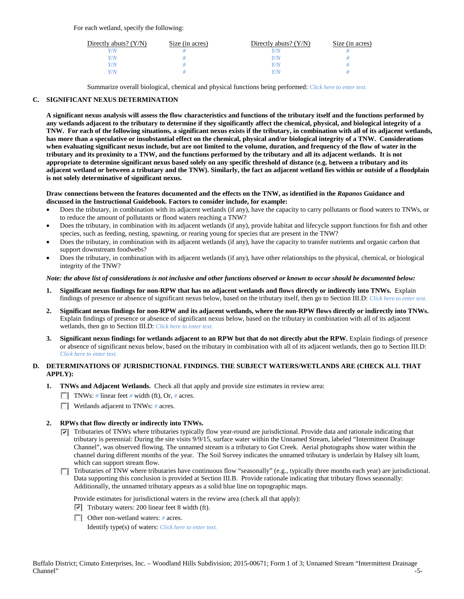For each wetland, specify the following:

| Directly abuts? $(Y/N)$ | Size (in acres) | Directly abuts? $(Y/N)$ | Size (in acres) |
|-------------------------|-----------------|-------------------------|-----------------|
| Y/N                     |                 |                         |                 |
| Y/N                     |                 | Y/N                     |                 |
| Y/N                     |                 | Y/N                     |                 |
| Y/N                     |                 | Y/N                     |                 |

Summarize overall biological, chemical and physical functions being performed: *Click here to enter text.*

### **C. SIGNIFICANT NEXUS DETERMINATION**

**A significant nexus analysis will assess the flow characteristics and functions of the tributary itself and the functions performed by any wetlands adjacent to the tributary to determine if they significantly affect the chemical, physical, and biological integrity of a TNW. For each of the following situations, a significant nexus exists if the tributary, in combination with all of its adjacent wetlands, has more than a speculative or insubstantial effect on the chemical, physical and/or biological integrity of a TNW. Considerations when evaluating significant nexus include, but are not limited to the volume, duration, and frequency of the flow of water in the tributary and its proximity to a TNW, and the functions performed by the tributary and all its adjacent wetlands. It is not appropriate to determine significant nexus based solely on any specific threshold of distance (e.g. between a tributary and its adjacent wetland or between a tributary and the TNW). Similarly, the fact an adjacent wetland lies within or outside of a floodplain is not solely determinative of significant nexus.** 

#### **Draw connections between the features documented and the effects on the TNW, as identified in the** *Rapanos* **Guidance and discussed in the Instructional Guidebook. Factors to consider include, for example:**

- Does the tributary, in combination with its adjacent wetlands (if any), have the capacity to carry pollutants or flood waters to TNWs, or to reduce the amount of pollutants or flood waters reaching a TNW?
- Does the tributary, in combination with its adjacent wetlands (if any), provide habitat and lifecycle support functions for fish and other species, such as feeding, nesting, spawning, or rearing young for species that are present in the TNW?
- Does the tributary, in combination with its adjacent wetlands (if any), have the capacity to transfer nutrients and organic carbon that support downstream foodwebs?
- Does the tributary, in combination with its adjacent wetlands (if any), have other relationships to the physical, chemical, or biological integrity of the TNW?

#### *Note: the above list of considerations is not inclusive and other functions observed or known to occur should be documented below:*

- **1. Significant nexus findings for non-RPW that has no adjacent wetlands and flows directly or indirectly into TNWs.** Explain findings of presence or absence of significant nexus below, based on the tributary itself, then go to Section III.D: *Click here to enter text.*
- **2. Significant nexus findings for non-RPW and its adjacent wetlands, where the non-RPW flows directly or indirectly into TNWs.**  Explain findings of presence or absence of significant nexus below, based on the tributary in combination with all of its adjacent wetlands, then go to Section III.D: *Click here to enter text.*
- **3. Significant nexus findings for wetlands adjacent to an RPW but that do not directly abut the RPW.** Explain findings of presence or absence of significant nexus below, based on the tributary in combination with all of its adjacent wetlands, then go to Section III.D: *Click here to enter text.*

# **D. DETERMINATIONS OF JURISDICTIONAL FINDINGS. THE SUBJECT WATERS/WETLANDS ARE (CHECK ALL THAT APPLY):**

- **1. TNWs and Adjacent Wetlands.** Check all that apply and provide size estimates in review area:
	- TNWs: *#* linear feet *#* width (ft), Or, *#* acres.
	- **Wetlands adjacent to TNWs: # acres.**

#### **2. RPWs that flow directly or indirectly into TNWs.**

- $\nabla$  Tributaries of TNWs where tributaries typically flow year-round are jurisdictional. Provide data and rationale indicating that tributary is perennial: During the site visits 9/9/15, surface water within the Unnamed Stream, labeled "Intermittent Drainage Channel", was observed flowing. The unnamed stream is a tributary to Got Creek. Aerial photographs show water within the channel during different months of the year. The Soil Survey indicates the unnamed tributary is underlain by Halsey silt loam, which can support stream flow.
- Tributaries of TNW where tributaries have continuous flow "seasonally" (e.g., typically three months each year) are jurisdictional.  $\sim$ Data supporting this conclusion is provided at Section III.B. Provide rationale indicating that tributary flows seasonally: Additionally, the unnamed tributary appears as a solid blue line on topographic maps.

Provide estimates for jurisdictional waters in the review area (check all that apply):

- $\triangledown$  Tributary waters: 200 linear feet 8 width (ft).
- Other non-wetland waters: *#* acres.

Identify type(s) of waters: *Click here to enter text.*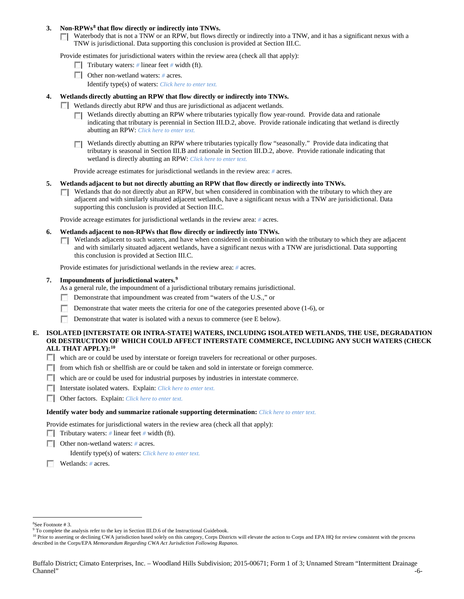### **3. Non-RPWs[8](#page-5-0) that flow directly or indirectly into TNWs.**

Waterbody that is not a TNW or an RPW, but flows directly or indirectly into a TNW, and it has a significant nexus with a TNW is jurisdictional. Data supporting this conclusion is provided at Section III.C.

Provide estimates for jurisdictional waters within the review area (check all that apply):

- **Tributary waters:** # linear feet # width (ft).
- Other non-wetland waters: # acres. Identify type(s) of waters: *Click here to enter text.*
- **4. Wetlands directly abutting an RPW that flow directly or indirectly into TNWs.**
	- **Wetlands directly abut RPW and thus are jurisdictional as adjacent wetlands.** 
		- $\Box$  Wetlands directly abutting an RPW where tributaries typically flow year-round. Provide data and rationale indicating that tributary is perennial in Section III.D.2, above. Provide rationale indicating that wetland is directly abutting an RPW: *Click here to enter text.*
		- Wetlands directly abutting an RPW where tributaries typically flow "seasonally." Provide data indicating that tributary is seasonal in Section III.B and rationale in Section III.D.2, above. Provide rationale indicating that wetland is directly abutting an RPW: *Click here to enter text.*

Provide acreage estimates for jurisdictional wetlands in the review area: *#* acres.

- **5. Wetlands adjacent to but not directly abutting an RPW that flow directly or indirectly into TNWs.**
	- $\Box$  Wetlands that do not directly abut an RPW, but when considered in combination with the tributary to which they are adjacent and with similarly situated adjacent wetlands, have a significant nexus with a TNW are jurisidictional. Data supporting this conclusion is provided at Section III.C.

Provide acreage estimates for jurisdictional wetlands in the review area: *#* acres.

- **6. Wetlands adjacent to non-RPWs that flow directly or indirectly into TNWs.** 
	- Wetlands adjacent to such waters, and have when considered in combination with the tributary to which they are adjacent Г. and with similarly situated adjacent wetlands, have a significant nexus with a TNW are jurisdictional. Data supporting this conclusion is provided at Section III.C.

Provide estimates for jurisdictional wetlands in the review area: *#* acres.

#### **7. Impoundments of jurisdictional waters. [9](#page-5-1)**

As a general rule, the impoundment of a jurisdictional tributary remains jurisdictional.

- Demonstrate that impoundment was created from "waters of the U.S.," or
- Demonstrate that water meets the criteria for one of the categories presented above (1-6), or
- n Demonstrate that water is isolated with a nexus to commerce (see E below).
- **E. ISOLATED [INTERSTATE OR INTRA-STATE] WATERS, INCLUDING ISOLATED WETLANDS, THE USE, DEGRADATION OR DESTRUCTION OF WHICH COULD AFFECT INTERSTATE COMMERCE, INCLUDING ANY SUCH WATERS (CHECK ALL THAT APPLY):[10](#page-5-2)**
	- which are or could be used by interstate or foreign travelers for recreational or other purposes.
	- from which fish or shellfish are or could be taken and sold in interstate or foreign commerce.
	- which are or could be used for industrial purposes by industries in interstate commerce.
	- Interstate isolated waters.Explain: *Click here to enter text.*
	- Other factors.Explain: *Click here to enter text.*

#### **Identify water body and summarize rationale supporting determination:** *Click here to enter text.*

Provide estimates for jurisdictional waters in the review area (check all that apply):

- Tributary waters: # linear feet # width (ft).
- Other non-wetland waters: *#* acres.

Identify type(s) of waters: *Click here to enter text.*

Wetlands: *#* acres.

 $\frac{1}{8}$ 

<span id="page-5-0"></span><sup>&</sup>lt;sup>8</sup>See Footnote # 3.<br><sup>9</sup> To complete the analysis refer to the key in Section III.D.6 of the Instructional Guidebook.

<span id="page-5-2"></span><span id="page-5-1"></span><sup>&</sup>lt;sup>10</sup> Prior to asserting or declining CWA jurisdiction based solely on this category, Corps Districts will elevate the action to Corps and EPA HQ for review consistent with the process described in the Corps/EPA *Memorandum Regarding CWA Act Jurisdiction Following Rapanos.*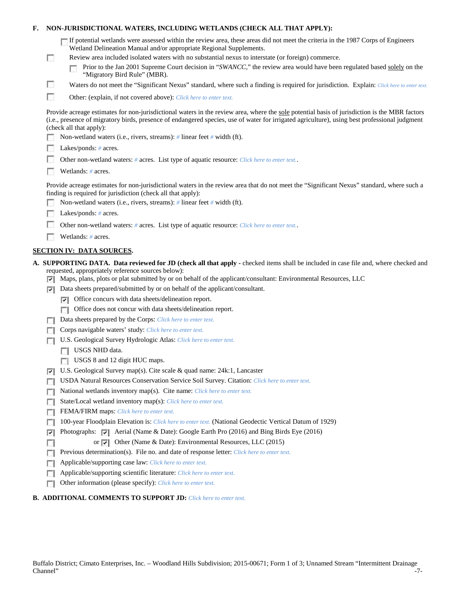| F. |        | NON-JURISDICTIONAL WATERS, INCLUDING WETLANDS (CHECK ALL THAT APPLY):                                                                                                                                                                                                                                                                                                                                                                                                     |
|----|--------|---------------------------------------------------------------------------------------------------------------------------------------------------------------------------------------------------------------------------------------------------------------------------------------------------------------------------------------------------------------------------------------------------------------------------------------------------------------------------|
|    | o      | If potential wetlands were assessed within the review area, these areas did not meet the criteria in the 1987 Corps of Engineers<br>Wetland Delineation Manual and/or appropriate Regional Supplements.<br>Review area included isolated waters with no substantial nexus to interstate (or foreign) commerce.<br>Prior to the Jan 2001 Supreme Court decision in "SWANCC," the review area would have been regulated based solely on the<br>"Migratory Bird Rule" (MBR). |
|    | B      | Waters do not meet the "Significant Nexus" standard, where such a finding is required for jurisdiction. Explain: Click here to enter text.                                                                                                                                                                                                                                                                                                                                |
|    | г      | Other: (explain, if not covered above): Click here to enter text.                                                                                                                                                                                                                                                                                                                                                                                                         |
|    |        | Provide acreage estimates for non-jurisdictional waters in the review area, where the sole potential basis of jurisdiction is the MBR factors<br>(i.e., presence of migratory birds, presence of endangered species, use of water for irrigated agriculture), using best professional judgment<br>(check all that apply):                                                                                                                                                 |
|    |        | Non-wetland waters (i.e., rivers, streams): # linear feet # width (ft).                                                                                                                                                                                                                                                                                                                                                                                                   |
|    |        | Lakes/ponds: $# \, \text{acres.}$                                                                                                                                                                                                                                                                                                                                                                                                                                         |
|    |        | Other non-wetland waters: # acres. List type of aquatic resource: Click here to enter text                                                                                                                                                                                                                                                                                                                                                                                |
|    |        | Wetlands: # acres.                                                                                                                                                                                                                                                                                                                                                                                                                                                        |
|    |        | Provide acreage estimates for non-jurisdictional waters in the review area that do not meet the "Significant Nexus" standard, where such a<br>finding is required for jurisdiction (check all that apply):<br>Non-wetland waters (i.e., rivers, streams): $\#$ linear feet $\#$ width (ft).                                                                                                                                                                               |
|    |        | Lakes/ponds: $# \, \text{acres.}$                                                                                                                                                                                                                                                                                                                                                                                                                                         |
|    |        | Other non-wetland waters: # acres. List type of aquatic resource: Click here to enter text                                                                                                                                                                                                                                                                                                                                                                                |
|    |        | Wetlands: # acres.                                                                                                                                                                                                                                                                                                                                                                                                                                                        |
|    |        | <b>SECTION IV: DATA SOURCES.</b>                                                                                                                                                                                                                                                                                                                                                                                                                                          |
|    | ▽      | A. SUPPORTING DATA. Data reviewed for JD (check all that apply - checked items shall be included in case file and, where checked and<br>requested, appropriately reference sources below):<br>Maps, plans, plots or plat submitted by or on behalf of the applicant/consultant: Environmental Resources, LLC                                                                                                                                                              |
|    | ⊽      | Data sheets prepared/submitted by or on behalf of the applicant/consultant.                                                                                                                                                                                                                                                                                                                                                                                               |
|    |        | $\triangleright$ Office concurs with data sheets/delineation report.                                                                                                                                                                                                                                                                                                                                                                                                      |
|    |        | Office does not concur with data sheets/delineation report.                                                                                                                                                                                                                                                                                                                                                                                                               |
|    | L.     | Data sheets prepared by the Corps: Click here to enter text.                                                                                                                                                                                                                                                                                                                                                                                                              |
|    |        | Corps navigable waters' study: Click here to enter text.                                                                                                                                                                                                                                                                                                                                                                                                                  |
|    |        | U.S. Geological Survey Hydrologic Atlas: Click here to enter text.                                                                                                                                                                                                                                                                                                                                                                                                        |
|    |        | USGS NHD data.                                                                                                                                                                                                                                                                                                                                                                                                                                                            |
|    |        | USGS 8 and 12 digit HUC maps.                                                                                                                                                                                                                                                                                                                                                                                                                                             |
|    | ⊽      | U.S. Geological Survey map(s). Cite scale & quad name: 24k:1, Lancaster                                                                                                                                                                                                                                                                                                                                                                                                   |
|    | $\sim$ | USDA Natural Resources Conservation Service Soil Survey. Citation: Click here to enter text.                                                                                                                                                                                                                                                                                                                                                                              |
|    | п      | National wetlands inventory map(s). Cite name: Click here to enter text.                                                                                                                                                                                                                                                                                                                                                                                                  |
|    | п      | State/Local wetland inventory map(s): Click here to enter text.                                                                                                                                                                                                                                                                                                                                                                                                           |
|    | п      | FEMA/FIRM maps: Click here to enter text.                                                                                                                                                                                                                                                                                                                                                                                                                                 |
|    | п      | 100-year Floodplain Elevation is: Click here to enter text. (National Geodectic Vertical Datum of 1929)                                                                                                                                                                                                                                                                                                                                                                   |
|    | ⊽      | Photographs: v   Aerial (Name & Date): Google Earth Pro (2016) and Bing Birds Eye (2016)                                                                                                                                                                                                                                                                                                                                                                                  |
|    | п      | or $\vert \triangledown \vert$ Other (Name & Date): Environmental Resources, LLC (2015)                                                                                                                                                                                                                                                                                                                                                                                   |
|    | п      | Previous determination(s). File no. and date of response letter: Click here to enter text.                                                                                                                                                                                                                                                                                                                                                                                |
|    | L.     | Applicable/supporting case law: Click here to enter text.                                                                                                                                                                                                                                                                                                                                                                                                                 |
|    | г      | Applicable/supporting scientific literature: Click here to enter text.                                                                                                                                                                                                                                                                                                                                                                                                    |
|    | Е      | Other information (please specify): Click here to enter text.                                                                                                                                                                                                                                                                                                                                                                                                             |
|    |        |                                                                                                                                                                                                                                                                                                                                                                                                                                                                           |

# **B. ADDITIONAL COMMENTS TO SUPPORT JD:** *Click here to enter text.*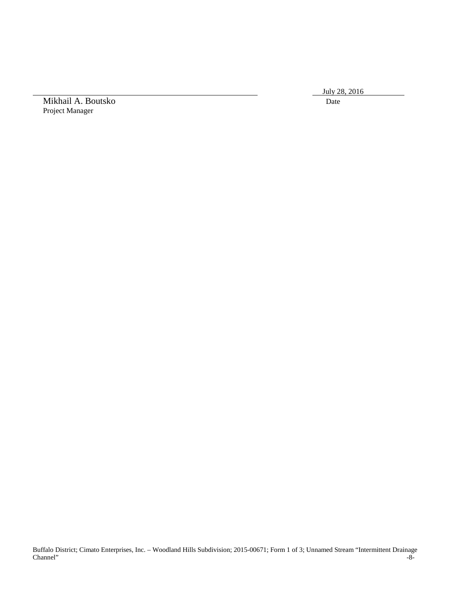July 28, 2016

Mikhail A. Boutsko Date Project Manager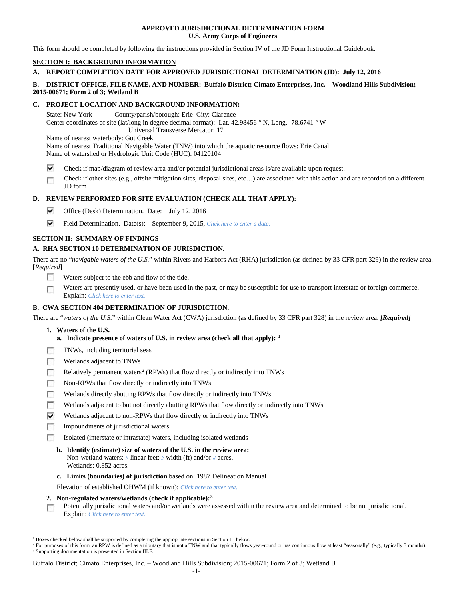### **APPROVED JURISDICTIONAL DETERMINATION FORM U.S. Army Corps of Engineers**

This form should be completed by following the instructions provided in Section IV of the JD Form Instructional Guidebook.

# **SECTION I: BACKGROUND INFORMATION**

## **A. REPORT COMPLETION DATE FOR APPROVED JURISDICTIONAL DETERMINATION (JD): July 12, 2016**

### **B. DISTRICT OFFICE, FILE NAME, AND NUMBER: Buffalo District; Cimato Enterprises, Inc. – Woodland Hills Subdivision; 2015-00671; Form 2 of 3; Wetland B**

### **C. PROJECT LOCATION AND BACKGROUND INFORMATION:**

State: New York County/parish/borough: Erie City: Clarence Center coordinates of site (lat/long in degree decimal format): Lat. 42.98456 ° N, Long. -78.6741 ° W Universal Transverse Mercator: 17 Name of nearest waterbody: Got Creek

Name of nearest Traditional Navigable Water (TNW) into which the aquatic resource flows: Erie Canal Name of watershed or Hydrologic Unit Code (HUC): 04120104

- ⊽ Check if map/diagram of review area and/or potential jurisdictional areas is/are available upon request.
- Check if other sites (e.g., offsite mitigation sites, disposal sites, etc…) are associated with this action and are recorded on a different œ JD form

# **D. REVIEW PERFORMED FOR SITE EVALUATION (CHECK ALL THAT APPLY):**

- ⊽ Office (Desk) Determination. Date: July 12, 2016
- ⊽ Field Determination. Date(s): September 9, 2015, *Click here to enter a date.*

## **SECTION II: SUMMARY OF FINDINGS**

# **A. RHA SECTION 10 DETERMINATION OF JURISDICTION.**

There are no "*navigable waters of the U.S.*" within Rivers and Harbors Act (RHA) jurisdiction (as defined by 33 CFR part 329) in the review area. [*Required*]

- **IST** Waters subject to the ebb and flow of the tide.
- Waters are presently used, or have been used in the past, or may be susceptible for use to transport interstate or foreign commerce. Г Explain: *Click here to enter text.*

## **B. CWA SECTION 404 DETERMINATION OF JURISDICTION.**

There are "*waters of the U.S.*" within Clean Water Act (CWA) jurisdiction (as defined by 33 CFR part 328) in the review area. *[Required]*

- **1. Waters of the U.S.**
	- **a. Indicate presence of waters of U.S. in review area (check all that apply): [1](#page-8-0)**
- п TNWs, including territorial seas
- Wetlands adjacent to TNWs п
- Relatively permanent waters<sup>[2](#page-8-1)</sup> (RPWs) that flow directly or indirectly into TNWs n
- п Non-RPWs that flow directly or indirectly into TNWs
- Wetlands directly abutting RPWs that flow directly or indirectly into TNWs п
- п Wetlands adjacent to but not directly abutting RPWs that flow directly or indirectly into TNWs
- ⊽ Wetlands adjacent to non-RPWs that flow directly or indirectly into TNWs
- г Impoundments of jurisdictional waters
- Isolated (interstate or intrastate) waters, including isolated wetlands n.
	- **b. Identify (estimate) size of waters of the U.S. in the review area:** Non-wetland waters: *#* linear feet: *#* width (ft) and/or *#* acres. Wetlands: 0.852 acres.
	- **c. Limits (boundaries) of jurisdiction** based on: 1987 Delineation Manual

Elevation of established OHWM (if known): *Click here to enter text.*

**2. Non-regulated waters/wetlands (check if applicable):[3](#page-8-2)**

Potentially jurisdictional waters and/or wetlands were assessed within the review area and determined to be not jurisdictional.  $\sim$ Explain: *Click here to enter text.*

Buffalo District; Cimato Enterprises, Inc. – Woodland Hills Subdivision; 2015-00671; Form 2 of 3; Wetland B

<span id="page-8-0"></span><sup>&</sup>lt;sup>1</sup> Boxes checked below shall be supported by completing the appropriate sections in Section III below.

<span id="page-8-2"></span><span id="page-8-1"></span><sup>&</sup>lt;sup>2</sup> For purposes of this form, an RPW is defined as a tributary that is not a TNW and that typically flows year-round or has continuous flow at least "seasonally" (e.g., typically 3 months). <sup>3</sup> Supporting documentation is presented in Section III.F.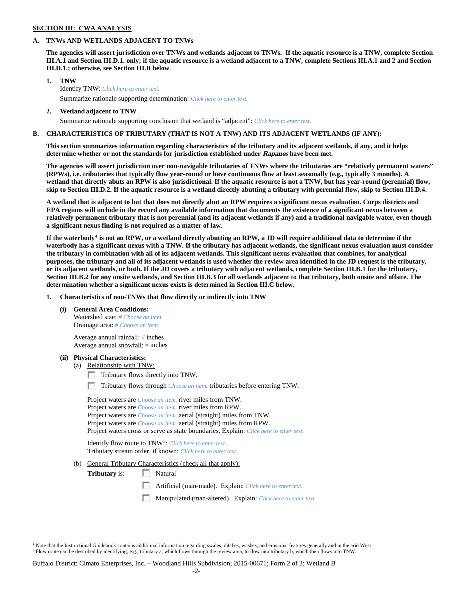### **SECTION III: CWA ANALYSIS**

#### **A. TNWs AND WETLANDS ADJACENT TO TNWs**

**The agencies will assert jurisdiction over TNWs and wetlands adjacent to TNWs. If the aquatic resource is a TNW, complete Section III.A.1 and Section III.D.1. only; if the aquatic resource is a wetland adjacent to a TNW, complete Sections III.A.1 and 2 and Section III.D.1.; otherwise, see Section III.B below**.

- **1. TNW**  Identify TNW: *Click here to enter text.* Summarize rationale supporting determination: *Click here to enter text.*
- **2. Wetland adjacent to TNW**
	- Summarize rationale supporting conclusion that wetland is "adjacent": *Click here to enter text.*

#### **B. CHARACTERISTICS OF TRIBUTARY (THAT IS NOT A TNW) AND ITS ADJACENT WETLANDS (IF ANY):**

**This section summarizes information regarding characteristics of the tributary and its adjacent wetlands, if any, and it helps determine whether or not the standards for jurisdiction established under Rapanos have been met.** 

**The agencies will assert jurisdiction over non-navigable tributaries of TNWs where the tributaries are "relatively permanent waters" (RPWs), i.e. tributaries that typically flow year-round or have continuous flow at least seasonally (e.g., typically 3 months). A wetland that directly abuts an RPW is also jurisdictional. If the aquatic resource is not a TNW, but has year-round (perennial) flow, skip to Section III.D.2. If the aquatic resource is a wetland directly abutting a tributary with perennial flow, skip to Section III.D.4.**

**A wetland that is adjacent to but that does not directly abut an RPW requires a significant nexus evaluation. Corps districts and EPA regions will include in the record any available information that documents the existence of a significant nexus between a relatively permanent tributary that is not perennial (and its adjacent wetlands if any) and a traditional navigable water, even though a significant nexus finding is not required as a matter of law.**

**If the waterbody[4](#page-9-0) is not an RPW, or a wetland directly abutting an RPW, a JD will require additional data to determine if the waterbody has a significant nexus with a TNW. If the tributary has adjacent wetlands, the significant nexus evaluation must consider the tributary in combination with all of its adjacent wetlands. This significant nexus evaluation that combines, for analytical purposes, the tributary and all of its adjacent wetlands is used whether the review area identified in the JD request is the tributary, or its adjacent wetlands, or both. If the JD covers a tributary with adjacent wetlands, complete Section III.B.1 for the tributary, Section III.B.2 for any onsite wetlands, and Section III.B.3 for all wetlands adjacent to that tributary, both onsite and offsite. The determination whether a significant nexus exists is determined in Section III.C below.**

**1. Characteristics of non-TNWs that flow directly or indirectly into TNW**

**(i) General Area Conditions:**

Watershed size: *# Choose an item.* Drainage area: *# Choose an item.*

Average annual rainfall: *#* inches Average annual snowfall: *#* inches

#### **(ii) Physical Characteristics:**

- (a) Relationship with TNW:
	- Tributary flows directly into TNW.

n Tributary flows through *Choose an item.* tributaries before entering TNW.

Project waters are *Choose an item.* river miles from TNW. Project waters are *Choose an item.* river miles from RPW. Project waters are *Choose an item.* aerial (straight) miles from TNW. Project waters are *Choose an item.* aerial (straight) miles from RPW. Project waters cross or serve as state boundaries. Explain: *Click here to enter text.*

Identify flow route to TNW[5:](#page-9-1) *Click here to enter text.* Tributary stream order, if known: *Click here to enter text.*

(b) General Tributary Characteristics (check all that apply):

**Tributary** is: Natural

- $\sim$ Artificial (man-made). Explain: *Click here to enter text.*
- Manipulated (man-altered). Explain: *Click here to enter text.*

<span id="page-9-1"></span><span id="page-9-0"></span> $4$  Note that the Instructional Guidebook contains additional information regarding swales, ditches, washes, and erosional features generally and in the arid West. <sup>5</sup> Flow route can be described by identifying, e.g., tributary a, which flows through the review area, to flow into tributary b, which then flows into TNW.

Buffalo District; Cimato Enterprises, Inc. – Woodland Hills Subdivision; 2015-00671; Form 2 of 3; Wetland B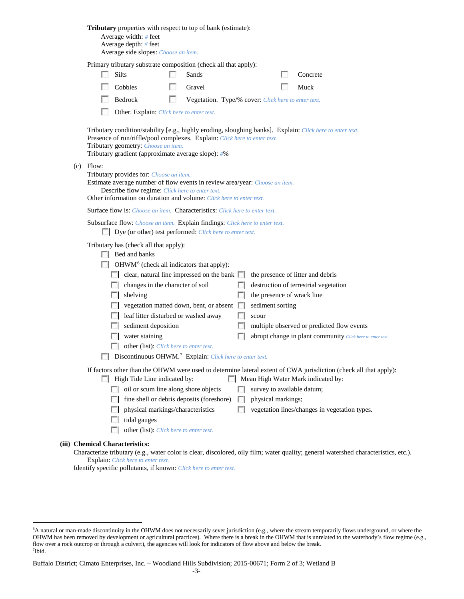|                                  | Average width: $#$ feet<br>Average depth: $#$ feet<br>Average side slopes: Choose an item. |    | <b>Tributary</b> properties with respect to top of bank (estimate):                                                                                |            |                    |                                                                                                                                                        |
|----------------------------------|--------------------------------------------------------------------------------------------|----|----------------------------------------------------------------------------------------------------------------------------------------------------|------------|--------------------|--------------------------------------------------------------------------------------------------------------------------------------------------------|
|                                  |                                                                                            |    | Primary tributary substrate composition (check all that apply):                                                                                    |            |                    |                                                                                                                                                        |
|                                  | Silts                                                                                      |    | Sands                                                                                                                                              |            |                    | Concrete                                                                                                                                               |
|                                  | Cobbles                                                                                    |    | Gravel                                                                                                                                             |            |                    | Muck                                                                                                                                                   |
|                                  | Bedrock                                                                                    | L. | Vegetation. Type/% cover: Click here to enter text.                                                                                                |            |                    |                                                                                                                                                        |
|                                  | Other. Explain: Click here to enter text.                                                  |    |                                                                                                                                                    |            |                    |                                                                                                                                                        |
|                                  | Tributary geometry: Choose an item.<br>Tributary gradient (approximate average slope): #%  |    | Presence of run/riffle/pool complexes. Explain: Click here to enter text.                                                                          |            |                    | Tributary condition/stability [e.g., highly eroding, sloughing banks]. Explain: Click here to enter text.                                              |
| $(c)$ Flow:                      | Tributary provides for: Choose an item.<br>Describe flow regime: Click here to enter text. |    | Estimate average number of flow events in review area/year: Choose an item.<br>Other information on duration and volume: Click here to enter text. |            |                    |                                                                                                                                                        |
|                                  |                                                                                            |    | <b>Surface flow is:</b> <i>Choose an item.</i> <b>Characteristics:</b> <i>Click here to enter text.</i>                                            |            |                    |                                                                                                                                                        |
|                                  |                                                                                            |    | Subsurface flow: Choose an item. Explain findings: Click here to enter text.<br>Dye (or other) test performed: Click here to enter text.           |            |                    |                                                                                                                                                        |
|                                  | Tributary has (check all that apply):<br>$\Box$ Bed and banks                              |    |                                                                                                                                                    |            |                    |                                                                                                                                                        |
|                                  | $\Box$ OHWM <sup>6</sup> (check all indicators that apply):                                |    |                                                                                                                                                    |            |                    |                                                                                                                                                        |
|                                  |                                                                                            |    | $\Box$ clear, natural line impressed on the bank $\Box$                                                                                            |            |                    | the presence of litter and debris                                                                                                                      |
|                                  | changes in the character of soil                                                           |    |                                                                                                                                                    |            |                    | destruction of terrestrial vegetation                                                                                                                  |
| L.                               | shelving                                                                                   |    |                                                                                                                                                    |            |                    | the presence of wrack line                                                                                                                             |
|                                  |                                                                                            |    | vegetation matted down, bent, or absent                                                                                                            |            | sediment sorting   |                                                                                                                                                        |
|                                  | leaf litter disturbed or washed away                                                       |    |                                                                                                                                                    |            | scour              |                                                                                                                                                        |
|                                  | sediment deposition                                                                        |    |                                                                                                                                                    |            |                    | multiple observed or predicted flow events                                                                                                             |
|                                  | water staining                                                                             |    |                                                                                                                                                    |            |                    | abrupt change in plant community Click here to enter text.                                                                                             |
|                                  | other (list): Click here to enter text.                                                    |    |                                                                                                                                                    |            |                    |                                                                                                                                                        |
|                                  |                                                                                            |    | Discontinuous OHWM. <sup>7</sup> Explain: Click here to enter text.                                                                                |            |                    |                                                                                                                                                        |
|                                  | High Tide Line indicated by:                                                               |    |                                                                                                                                                    |            |                    | If factors other than the OHWM were used to determine lateral extent of CWA jurisdiction (check all that apply):<br>Mean High Water Mark indicated by: |
| $\sim$                           | oil or scum line along shore objects                                                       |    |                                                                                                                                                    |            |                    | survey to available datum;                                                                                                                             |
| FЛ                               |                                                                                            |    | fine shell or debris deposits (foreshore)                                                                                                          | $\sim$     | physical markings; |                                                                                                                                                        |
| L.                               | physical markings/characteristics                                                          |    |                                                                                                                                                    | <b>ISB</b> |                    | vegetation lines/changes in vegetation types.                                                                                                          |
|                                  | tidal gauges                                                                               |    |                                                                                                                                                    |            |                    |                                                                                                                                                        |
|                                  | other (list): Click here to enter text.                                                    |    |                                                                                                                                                    |            |                    |                                                                                                                                                        |
| <b>Chemical Characteristics:</b> |                                                                                            |    |                                                                                                                                                    |            |                    | Characterize tributary (e.g., water color is clear, discolored, oily film; water quality; general watershed characteristics, etc.).                    |

Explain: *Click here to enter text.*

**(iii)** 

Identify specific pollutants, if known: *Click here to enter text.*

<span id="page-10-1"></span><span id="page-10-0"></span> <sup>6</sup> A natural or man-made discontinuity in the OHWM does not necessarily sever jurisdiction (e.g., where the stream temporarily flows underground, or where the OHWM has been removed by development or agricultural practices). Where there is a break in the OHWM that is unrelated to the waterbody's flow regime (e.g., flow over a rock outcrop or through a culvert), the agencies will look for indicators of flow above and below the break. 7 Ibid.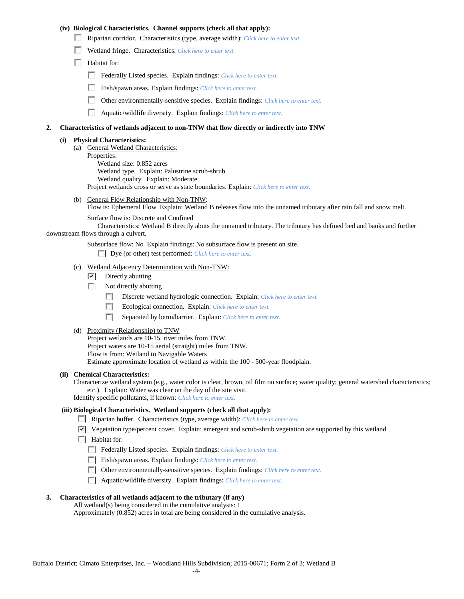### **(iv) Biological Characteristics. Channel supports (check all that apply):**

- Riparian corridor. Characteristics (type, average width): *Click here to enter text.*
- Wetland fringe. Characteristics: *Click here to enter text.*
- Habitat for:
	- Federally Listed species. Explain findings: *Click here to enter text.*
	- Fish/spawn areas. Explain findings: *Click here to enter text.*
	- п. Other environmentally-sensitive species. Explain findings: *Click here to enter text.*
	- n Aquatic/wildlife diversity. Explain findings: *Click here to enter text.*

### **2. Characteristics of wetlands adjacent to non-TNW that flow directly or indirectly into TNW**

### **(i) Physical Characteristics:**

- (a) General Wetland Characteristics:
	- Properties:
		- Wetland size: 0.852 acres Wetland type. Explain: Palustrine scrub-shrub Wetland quality. Explain: Moderate
		- Project wetlands cross or serve as state boundaries. Explain: *Click here to enter text.*
- (b) General Flow Relationship with Non-TNW: Flow is: Ephemeral Flow Explain: Wetland B releases flow into the unnamed tributary after rain fall and snow melt.

Surface flow is: Discrete and Confined

Characteristics: Wetland B directly abuts the unnamed tributary. The tributary has defined bed and banks and further downstream flows through a culvert.

Subsurface flow: No Explain findings: No subsurface flow is present on site.

Dye (or other) test performed: *Click here to enter text.*

- (c) Wetland Adjacency Determination with Non-TNW:
	- $\nabla$  Directly abutting
	- Not directly abutting

Discrete wetland hydrologic connection. Explain: *Click here to enter text.* 

- Ecological connection. Explain: *Click here to enter text.*
- Separated by berm/barrier. Explain: *Click here to enter text.*
- (d) Proximity (Relationship) to TNW

Project wetlands are 10-15 river miles from TNW. Project waters are 10-15 aerial (straight) miles from TNW. Flow is from: Wetland to Navigable Waters Estimate approximate location of wetland as within the 100 - 500-year floodplain.

# **(ii) Chemical Characteristics:**

Characterize wetland system (e.g., water color is clear, brown, oil film on surface; water quality; general watershed characteristics; etc.). Explain: Water was clear on the day of the site visit.

Identify specific pollutants, if known: *Click here to enter text.*

## **(iii) Biological Characteristics. Wetland supports (check all that apply):**

Riparian buffer. Characteristics (type, average width): *Click here to enter text.*

- $\triangledown$  Vegetation type/percent cover. Explain: emergent and scrub-shrub vegetation are supported by this wetland
- $\Box$  Habitat for:

Federally Listed species. Explain findings: *Click here to enter text.*

- Fish/spawn areas. Explain findings: *Click here to enter text*.
- Other environmentally-sensitive species. Explain findings: *Click here to enter text.*
- Aquatic/wildlife diversity. Explain findings: *Click here to enter text.*

## **3. Characteristics of all wetlands adjacent to the tributary (if any)**

All wetland(s) being considered in the cumulative analysis: 1 Approximately (0.852) acres in total are being considered in the cumulative analysis.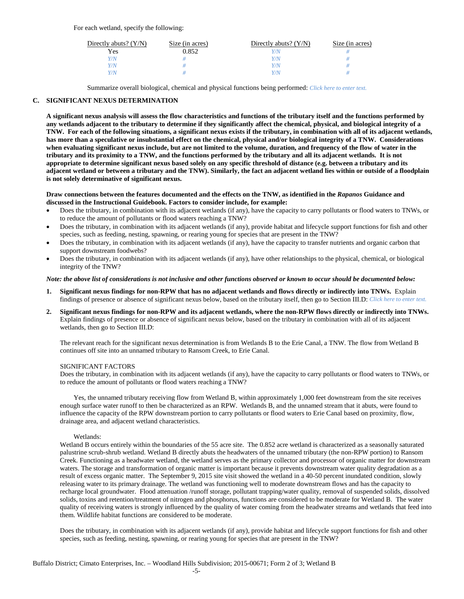For each wetland, specify the following:

| Directly abuts? $(Y/N)$ | Size (in acres) | Directly abuts? $(Y/N)$ | Size (in acres) |
|-------------------------|-----------------|-------------------------|-----------------|
| Yes                     | 0.852           | Y/N                     |                 |
| Y/N                     |                 | Y/N                     |                 |
| Y/N                     |                 | Y/N                     |                 |
| Y/N                     |                 | Y/N                     |                 |

Summarize overall biological, chemical and physical functions being performed: *Click here to enter text.*

### **C. SIGNIFICANT NEXUS DETERMINATION**

**A significant nexus analysis will assess the flow characteristics and functions of the tributary itself and the functions performed by any wetlands adjacent to the tributary to determine if they significantly affect the chemical, physical, and biological integrity of a TNW. For each of the following situations, a significant nexus exists if the tributary, in combination with all of its adjacent wetlands, has more than a speculative or insubstantial effect on the chemical, physical and/or biological integrity of a TNW. Considerations when evaluating significant nexus include, but are not limited to the volume, duration, and frequency of the flow of water in the tributary and its proximity to a TNW, and the functions performed by the tributary and all its adjacent wetlands. It is not appropriate to determine significant nexus based solely on any specific threshold of distance (e.g. between a tributary and its adjacent wetland or between a tributary and the TNW). Similarly, the fact an adjacent wetland lies within or outside of a floodplain is not solely determinative of significant nexus.** 

#### **Draw connections between the features documented and the effects on the TNW, as identified in the** *Rapanos* **Guidance and discussed in the Instructional Guidebook. Factors to consider include, for example:**

- Does the tributary, in combination with its adjacent wetlands (if any), have the capacity to carry pollutants or flood waters to TNWs, or to reduce the amount of pollutants or flood waters reaching a TNW?
- Does the tributary, in combination with its adjacent wetlands (if any), provide habitat and lifecycle support functions for fish and other species, such as feeding, nesting, spawning, or rearing young for species that are present in the TNW?
- Does the tributary, in combination with its adjacent wetlands (if any), have the capacity to transfer nutrients and organic carbon that support downstream foodwebs?
- Does the tributary, in combination with its adjacent wetlands (if any), have other relationships to the physical, chemical, or biological integrity of the TNW?

#### *Note: the above list of considerations is not inclusive and other functions observed or known to occur should be documented below:*

- **1. Significant nexus findings for non-RPW that has no adjacent wetlands and flows directly or indirectly into TNWs.** Explain findings of presence or absence of significant nexus below, based on the tributary itself, then go to Section III.D: *Click here to enter text.*
- **2. Significant nexus findings for non-RPW and its adjacent wetlands, where the non-RPW flows directly or indirectly into TNWs.**  Explain findings of presence or absence of significant nexus below, based on the tributary in combination with all of its adjacent wetlands, then go to Section III.D:

The relevant reach for the significant nexus determination is from Wetlands B to the Erie Canal, a TNW. The flow from Wetland B continues off site into an unnamed tributary to Ransom Creek, to Erie Canal.

#### SIGNIFICANT FACTORS

Does the tributary, in combination with its adjacent wetlands (if any), have the capacity to carry pollutants or flood waters to TNWs, or to reduce the amount of pollutants or flood waters reaching a TNW?

Yes, the unnamed tributary receiving flow from Wetland B, within approximately 1,000 feet downstream from the site receives enough surface water runoff to then be characterized as an RPW. Wetlands B, and the unnamed stream that it abuts, were found to influence the capacity of the RPW downstream portion to carry pollutants or flood waters to Erie Canal based on proximity, flow, drainage area, and adjacent wetland characteristics.

#### Wetlands:

Wetland B occurs entirely within the boundaries of the 55 acre site. The 0.852 acre wetland is characterized as a seasonally saturated palustrine scrub-shrub wetland. Wetland B directly abuts the headwaters of the unnamed tributary (the non-RPW portion) to Ransom Creek. Functioning as a headwater wetland, the wetland serves as the primary collector and processor of organic matter for downstream waters. The storage and transformation of organic matter is important because it prevents downstream water quality degradation as a result of excess organic matter. The September 9, 2015 site visit showed the wetland in a 40-50 percent inundated condition, slowly releasing water to its primary drainage. The wetland was functioning well to moderate downstream flows and has the capacity to recharge local groundwater. Flood attenuation /runoff storage, pollutant trapping/water quality, removal of suspended solids, dissolved solids, toxins and retention/treatment of nitrogen and phosphorus, functions are considered to be moderate for Wetland B. The water quality of receiving waters is strongly influenced by the quality of water coming from the headwater streams and wetlands that feed into them. Wildlife habitat functions are considered to be moderate.

Does the tributary, in combination with its adjacent wetlands (if any), provide habitat and lifecycle support functions for fish and other species, such as feeding, nesting, spawning, or rearing young for species that are present in the TNW?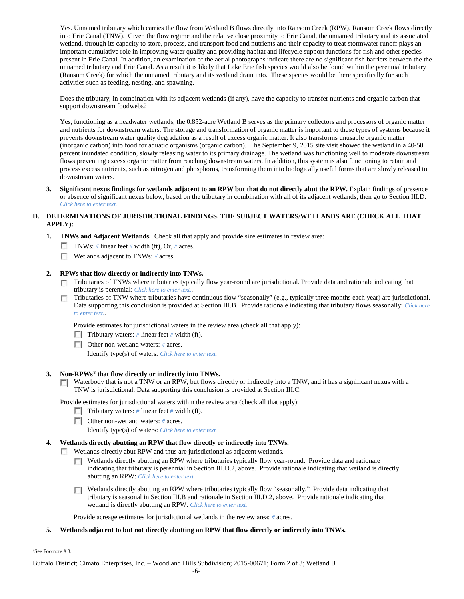Yes. Unnamed tributary which carries the flow from Wetland B flows directly into Ransom Creek (RPW). Ransom Creek flows directly into Erie Canal (TNW). Given the flow regime and the relative close proximity to Erie Canal, the unnamed tributary and its associated wetland, through its capacity to store, process, and transport food and nutrients and their capacity to treat stormwater runoff plays an important cumulative role in improving water quality and providing habitat and lifecycle support functions for fish and other species present in Erie Canal. In addition, an examination of the aerial photographs indicate there are no significant fish barriers between the the unnamed tributary and Erie Canal. As a result it is likely that Lake Erie fish species would also be found within the perennial tributary (Ransom Creek) for which the unnamed tributary and its wetland drain into. These species would be there specifically for such activities such as feeding, nesting, and spawning.

Does the tributary, in combination with its adjacent wetlands (if any), have the capacity to transfer nutrients and organic carbon that support downstream foodwebs?

Yes, functioning as a headwater wetlands, the 0.852-acre Wetland B serves as the primary collectors and processors of organic matter and nutrients for downstream waters. The storage and transformation of organic matter is important to these types of systems because it prevents downstream water quality degradation as a result of excess organic matter. It also transforms unusable organic matter (inorganic carbon) into food for aquatic organisms (organic carbon). The September 9, 2015 site visit showed the wetland in a 40-50 percent inundated condition, slowly releasing water to its primary drainage. The wetland was functioning well to moderate downstream flows preventing excess organic matter from reaching downstream waters. In addition, this system is also functioning to retain and process excess nutrients, such as nitrogen and phosphorus, transforming them into biologically useful forms that are slowly released to downstream waters.

**3. Significant nexus findings for wetlands adjacent to an RPW but that do not directly abut the RPW.** Explain findings of presence or absence of significant nexus below, based on the tributary in combination with all of its adjacent wetlands, then go to Section III.D: *Click here to enter text.*

## **D. DETERMINATIONS OF JURISDICTIONAL FINDINGS. THE SUBJECT WATERS/WETLANDS ARE (CHECK ALL THAT APPLY):**

- **1. TNWs and Adjacent Wetlands.** Check all that apply and provide size estimates in review area:
	- TNWs: *#* linear feet *#* width (ft), Or, *#* acres.
	- Wetlands adjacent to TNWs: *#* acres.

## **2. RPWs that flow directly or indirectly into TNWs.**

- Tributaries of TNWs where tributaries typically flow year-round are jurisdictional. Provide data and rationale indicating that tributary is perennial: *Click here to enter text.*.
- Tributaries of TNW where tributaries have continuous flow "seasonally" (e.g., typically three months each year) are jurisdictional. Data supporting this conclusion is provided at Section III.B. Provide rationale indicating that tributary flows seasonally: *Click here to enter text.*.

Provide estimates for jurisdictional waters in the review area (check all that apply):

- Tributary waters: # linear feet # width (ft).
- Other non-wetland waters: *#* acres.

Identify type(s) of waters: *Click here to enter text.*

## **3. Non-RPWs[8](#page-13-0) that flow directly or indirectly into TNWs.**

**Nationary** Waterbody that is not a TNW or an RPW, but flows directly or indirectly into a TNW, and it has a significant nexus with a TNW is jurisdictional. Data supporting this conclusion is provided at Section III.C.

Provide estimates for jurisdictional waters within the review area (check all that apply):

- Tributary waters: # linear feet # width (ft).
- Other non-wetland waters: *#* acres.

Identify type(s) of waters: *Click here to enter text.*

## **4. Wetlands directly abutting an RPW that flow directly or indirectly into TNWs.**

Wetlands directly abut RPW and thus are jurisdictional as adjacent wetlands.

- Wetlands directly abutting an RPW where tributaries typically flow year-round. Provide data and rationale indicating that tributary is perennial in Section III.D.2, above. Provide rationale indicating that wetland is directly abutting an RPW: *Click here to enter text.*
- **T** Wetlands directly abutting an RPW where tributaries typically flow "seasonally." Provide data indicating that tributary is seasonal in Section III.B and rationale in Section III.D.2, above. Provide rationale indicating that wetland is directly abutting an RPW: *Click here to enter text.*

Provide acreage estimates for jurisdictional wetlands in the review area: *#* acres.

**5. Wetlands adjacent to but not directly abutting an RPW that flow directly or indirectly into TNWs.**

<span id="page-13-0"></span> $\frac{1}{8}$ See Footnote # 3.

Buffalo District; Cimato Enterprises, Inc. – Woodland Hills Subdivision; 2015-00671; Form 2 of 3; Wetland B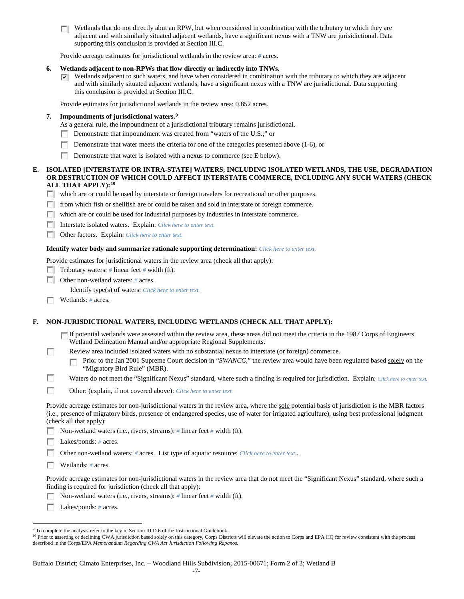$\Box$  Wetlands that do not directly abut an RPW, but when considered in combination with the tributary to which they are adjacent and with similarly situated adjacent wetlands, have a significant nexus with a TNW are jurisidictional. Data supporting this conclusion is provided at Section III.C.

Provide acreage estimates for jurisdictional wetlands in the review area: *#* acres.

### **6. Wetlands adjacent to non-RPWs that flow directly or indirectly into TNWs.**

Wetlands adjacent to such waters, and have when considered in combination with the tributary to which they are adjacent and with similarly situated adjacent wetlands, have a significant nexus with a TNW are jurisdictional. Data supporting this conclusion is provided at Section III.C.

Provide estimates for jurisdictional wetlands in the review area: 0.852 acres.

## **7. Impoundments of jurisdictional waters. [9](#page-14-0)**

As a general rule, the impoundment of a jurisdictional tributary remains jurisdictional.

- Demonstrate that impoundment was created from "waters of the U.S.," or
- n Demonstrate that water meets the criteria for one of the categories presented above (1-6), or
- m. Demonstrate that water is isolated with a nexus to commerce (see E below).

### **E. ISOLATED [INTERSTATE OR INTRA-STATE] WATERS, INCLUDING ISOLATED WETLANDS, THE USE, DEGRADATION OR DESTRUCTION OF WHICH COULD AFFECT INTERSTATE COMMERCE, INCLUDING ANY SUCH WATERS (CHECK ALL THAT APPLY):[10](#page-14-1)**

which are or could be used by interstate or foreign travelers for recreational or other purposes.

- from which fish or shellfish are or could be taken and sold in interstate or foreign commerce.
- $\Box$  which are or could be used for industrial purposes by industries in interstate commerce.
- Interstate isolated waters.Explain: *Click here to enter text.*
- Other factors.Explain: *Click here to enter text.*

#### **Identify water body and summarize rationale supporting determination:** *Click here to enter text.*

Provide estimates for jurisdictional waters in the review area (check all that apply):

Tributary waters: # linear feet # width (ft).

Other non-wetland waters: *#* acres.

Identify type(s) of waters: *Click here to enter text.*

Wetlands: # acres.

## **F. NON-JURISDICTIONAL WATERS, INCLUDING WETLANDS (CHECK ALL THAT APPLY):**

If potential wetlands were assessed within the review area, these areas did not meet the criteria in the 1987 Corps of Engineers Wetland Delineation Manual and/or appropriate Regional Supplements.

n Review area included isolated waters with no substantial nexus to interstate (or foreign) commerce.

Prior to the Jan 2001 Supreme Court decision in "*SWANCC*," the review area would have been regulated based solely on the г "Migratory Bird Rule" (MBR).

П Waters do not meet the "Significant Nexus" standard, where such a finding is required for jurisdiction. Explain: *Click here to enter text.* 

**In** Other: (explain, if not covered above): *Click here to enter text.*

Provide acreage estimates for non-jurisdictional waters in the review area, where the sole potential basis of jurisdiction is the MBR factors (i.e., presence of migratory birds, presence of endangered species, use of water for irrigated agriculture), using best professional judgment (check all that apply):

Non-wetland waters (i.e., rivers, streams): *#* linear feet *#* width (ft).

**Lakes/ponds:** # acres.

Other non-wetland waters: *#* acres. List type of aquatic resource: *Click here to enter text.*.

Wetlands: *#* acres.

Provide acreage estimates for non-jurisdictional waters in the review area that do not meet the "Significant Nexus" standard, where such a finding is required for jurisdiction (check all that apply):

Non-wetland waters (i.e., rivers, streams): *#* linear feet *#* width (ft). Е

**Lakes/ponds:** # acres.

<span id="page-14-1"></span><sup>10</sup> Prior to asserting or declining CWA jurisdiction based solely on this category, Corps Districts will elevate the action to Corps and EPA HQ for review consistent with the process described in the Corps/EPA *Memorandum Regarding CWA Act Jurisdiction Following Rapanos.*

<span id="page-14-0"></span><sup>&</sup>lt;sup>9</sup> To complete the analysis refer to the key in Section III.D.6 of the Instructional Guidebook.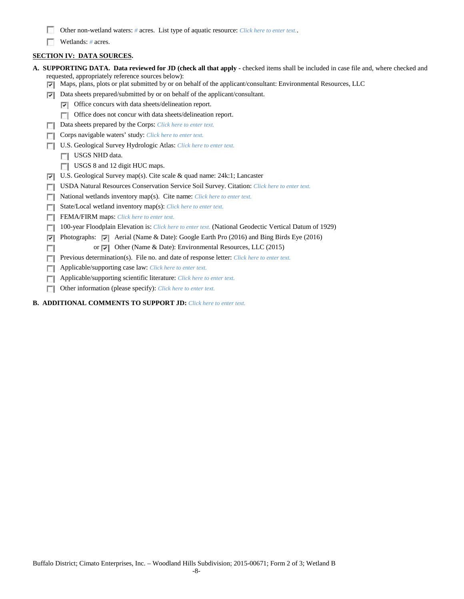- Other non-wetland waters: *#* acres. List type of aquatic resource: *Click here to enter text.*.
- Wetlands: # acres.

# **SECTION IV: DATA SOURCES.**

| A. SUPPORTING DATA. Data reviewed for JD (check all that apply - checked items shall be included in case file and, where checked and<br>requested, appropriately reference sources below): |
|--------------------------------------------------------------------------------------------------------------------------------------------------------------------------------------------|
| Maps, plans, plots or plat submitted by or on behalf of the applicant/consultant: Environmental Resources, LLC<br>⊽                                                                        |
| Data sheets prepared/submitted by or on behalf of the applicant/consultant.<br>⊽                                                                                                           |
| Office concurs with data sheets/delineation report.<br>⊽                                                                                                                                   |
| Office does not concur with data sheets/delineation report.                                                                                                                                |
| Data sheets prepared by the Corps: Click here to enter text.                                                                                                                               |
| Corps navigable waters' study: Click here to enter text.                                                                                                                                   |
| U.S. Geological Survey Hydrologic Atlas: Click here to enter text.                                                                                                                         |
| USGS NHD data.                                                                                                                                                                             |
| USGS 8 and 12 digit HUC maps.                                                                                                                                                              |
| U.S. Geological Survey map(s). Cite scale & quad name: $24k:1$ ; Lancaster<br>⊽                                                                                                            |
| USDA Natural Resources Conservation Service Soil Survey. Citation: Click here to enter text.                                                                                               |
| National wetlands inventory map(s). Cite name: Click here to enter text.                                                                                                                   |
| State/Local wetland inventory map(s): Click here to enter text.                                                                                                                            |
| FEMA/FIRM maps: Click here to enter text.                                                                                                                                                  |
| 100-year Floodplain Elevation is: Click here to enter text. (National Geodectic Vertical Datum of 1929)                                                                                    |
| Photographs: $\triangledown$ Aerial (Name & Date): Google Earth Pro (2016) and Bing Birds Eye (2016)<br>⊽                                                                                  |
| or $\overline{\mathbf{v}}$ Other (Name & Date): Environmental Resources, LLC (2015)                                                                                                        |
| Previous determination(s). File no. and date of response letter: Click here to enter text.                                                                                                 |
| Applicable/supporting case law: Click here to enter text.                                                                                                                                  |
| Applicable/supporting scientific literature: Click here to enter text.                                                                                                                     |
| Other information (please specify): Click here to enter text.<br>п                                                                                                                         |
| <b>B. ADDITIONAL COMMENTS TO SUPPORT JD:</b> Click here to enter text.                                                                                                                     |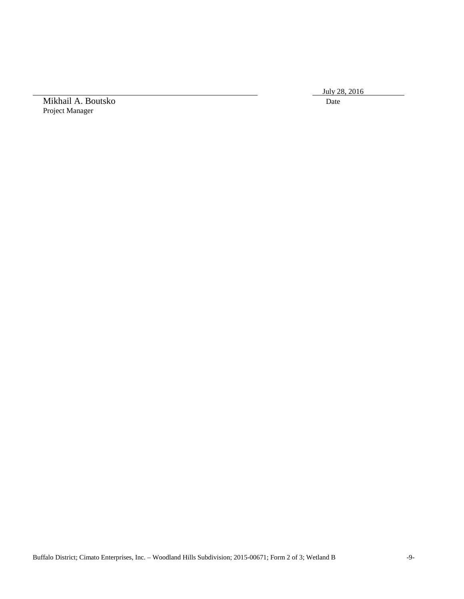July 28, 2016

Mikhail A. Boutsko Date Project Manager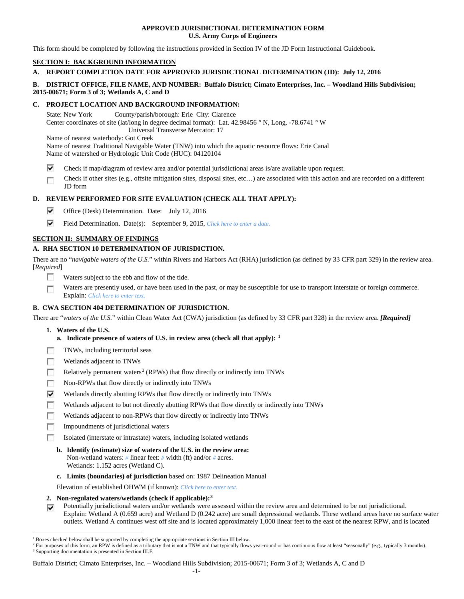### **APPROVED JURISDICTIONAL DETERMINATION FORM U.S. Army Corps of Engineers**

This form should be completed by following the instructions provided in Section IV of the JD Form Instructional Guidebook.

# **SECTION I: BACKGROUND INFORMATION**

## **A. REPORT COMPLETION DATE FOR APPROVED JURISDICTIONAL DETERMINATION (JD): July 12, 2016**

## **B. DISTRICT OFFICE, FILE NAME, AND NUMBER: Buffalo District; Cimato Enterprises, Inc. – Woodland Hills Subdivision; 2015-00671; Form 3 of 3; Wetlands A, C and D**

### **C. PROJECT LOCATION AND BACKGROUND INFORMATION:**

State: New York County/parish/borough: Erie City: Clarence Center coordinates of site (lat/long in degree decimal format): Lat. 42.98456 ° N, Long. -78.6741 ° W Universal Transverse Mercator: 17 Name of nearest waterbody: Got Creek

Name of nearest Traditional Navigable Water (TNW) into which the aquatic resource flows: Erie Canal Name of watershed or Hydrologic Unit Code (HUC): 04120104

- ⊽ Check if map/diagram of review area and/or potential jurisdictional areas is/are available upon request.
- Check if other sites (e.g., offsite mitigation sites, disposal sites, etc…) are associated with this action and are recorded on a different œ JD form

# **D. REVIEW PERFORMED FOR SITE EVALUATION (CHECK ALL THAT APPLY):**

- ⊽ Office (Desk) Determination. Date: July 12, 2016
- ⊽ Field Determination. Date(s): September 9, 2015, *Click here to enter a date.*

## **SECTION II: SUMMARY OF FINDINGS**

# **A. RHA SECTION 10 DETERMINATION OF JURISDICTION.**

There are no "*navigable waters of the U.S.*" within Rivers and Harbors Act (RHA) jurisdiction (as defined by 33 CFR part 329) in the review area. [*Required*]

- **IST** Waters subject to the ebb and flow of the tide.
- Waters are presently used, or have been used in the past, or may be susceptible for use to transport interstate or foreign commerce. Г Explain: *Click here to enter text.*

## **B. CWA SECTION 404 DETERMINATION OF JURISDICTION.**

There are "*waters of the U.S.*" within Clean Water Act (CWA) jurisdiction (as defined by 33 CFR part 328) in the review area. *[Required]*

- **1. Waters of the U.S.**
	- **a. Indicate presence of waters of U.S. in review area (check all that apply): [1](#page-17-0)**
- п TNWs, including territorial seas
- Wetlands adjacent to TNWs п
- Relatively permanent waters<sup>[2](#page-17-1)</sup> (RPWs) that flow directly or indirectly into TNWs n
- п Non-RPWs that flow directly or indirectly into TNWs
- Wetlands directly abutting RPWs that flow directly or indirectly into TNWs ⊽
- п Wetlands adjacent to but not directly abutting RPWs that flow directly or indirectly into TNWs
- г Wetlands adjacent to non-RPWs that flow directly or indirectly into TNWs
- n Impoundments of jurisdictional waters
- Isolated (interstate or intrastate) waters, including isolated wetlands n.
	- **b. Identify (estimate) size of waters of the U.S. in the review area:** Non-wetland waters: *#* linear feet: *#* width (ft) and/or *#* acres. Wetlands: 1.152 acres (Wetland C).
	- **c. Limits (boundaries) of jurisdiction** based on: 1987 Delineation Manual

Elevation of established OHWM (if known): *Click here to enter text.*

- **2. Non-regulated waters/wetlands (check if applicable):[3](#page-17-2)**
- Potentially jurisdictional waters and/or wetlands were assessed within the review area and determined to be not jurisdictional. Explain: Wetland A (0.659 acre) and Wetland D (0.242 acre) are small depressional wetlands. These wetland areas have no surface water outlets. Wetland A continues west off site and is located approximately 1,000 linear feet to the east of the nearest RPW, and is located

Buffalo District; Cimato Enterprises, Inc. – Woodland Hills Subdivision; 2015-00671; Form 3 of 3; Wetlands A, C and D

<span id="page-17-0"></span> <sup>1</sup> Boxes checked below shall be supported by completing the appropriate sections in Section III below.

<span id="page-17-2"></span><span id="page-17-1"></span><sup>&</sup>lt;sup>2</sup> For purposes of this form, an RPW is defined as a tributary that is not a TNW and that typically flows year-round or has continuous flow at least "seasonally" (e.g., typically 3 months). <sup>3</sup> Supporting documentation is presented in Section III.F.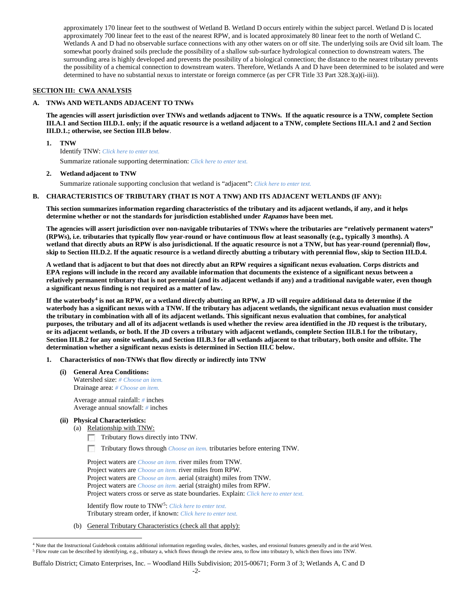approximately 170 linear feet to the southwest of Wetland B. Wetland D occurs entirely within the subject parcel. Wetland D is located approximately 700 linear feet to the east of the nearest RPW, and is located approximately 80 linear feet to the north of Wetland C. Wetlands A and D had no observable surface connections with any other waters on or off site. The underlying soils are Ovid silt loam. The somewhat poorly drained soils preclude the possibility of a shallow sub-surface hydrological connection to downstream waters. The surrounding area is highly developed and prevents the possibility of a biological connection; the distance to the nearest tributary prevents the possibility of a chemical connection to downstream waters. Therefore, Wetlands A and D have been determined to be isolated and were determined to have no substantial nexus to interstate or foreign commerce (as per CFR Title 33 Part 328.3(a)(i-iii)).

### **SECTION III: CWA ANALYSIS**

### **A. TNWs AND WETLANDS ADJACENT TO TNWs**

**The agencies will assert jurisdiction over TNWs and wetlands adjacent to TNWs. If the aquatic resource is a TNW, complete Section III.A.1 and Section III.D.1. only; if the aquatic resource is a wetland adjacent to a TNW, complete Sections III.A.1 and 2 and Section III.D.1.; otherwise, see Section III.B below**.

**1. TNW** 

Identify TNW: *Click here to enter text.* Summarize rationale supporting determination: *Click here to enter text.*

**2. Wetland adjacent to TNW**

Summarize rationale supporting conclusion that wetland is "adjacent": *Click here to enter text.*

## **B. CHARACTERISTICS OF TRIBUTARY (THAT IS NOT A TNW) AND ITS ADJACENT WETLANDS (IF ANY):**

**This section summarizes information regarding characteristics of the tributary and its adjacent wetlands, if any, and it helps determine whether or not the standards for jurisdiction established under Rapanos have been met.** 

**The agencies will assert jurisdiction over non-navigable tributaries of TNWs where the tributaries are "relatively permanent waters" (RPWs), i.e. tributaries that typically flow year-round or have continuous flow at least seasonally (e.g., typically 3 months). A wetland that directly abuts an RPW is also jurisdictional. If the aquatic resource is not a TNW, but has year-round (perennial) flow, skip to Section III.D.2. If the aquatic resource is a wetland directly abutting a tributary with perennial flow, skip to Section III.D.4.**

**A wetland that is adjacent to but that does not directly abut an RPW requires a significant nexus evaluation. Corps districts and EPA regions will include in the record any available information that documents the existence of a significant nexus between a relatively permanent tributary that is not perennial (and its adjacent wetlands if any) and a traditional navigable water, even though a significant nexus finding is not required as a matter of law.**

**If the waterbody[4](#page-18-0) is not an RPW, or a wetland directly abutting an RPW, a JD will require additional data to determine if the waterbody has a significant nexus with a TNW. If the tributary has adjacent wetlands, the significant nexus evaluation must consider the tributary in combination with all of its adjacent wetlands. This significant nexus evaluation that combines, for analytical purposes, the tributary and all of its adjacent wetlands is used whether the review area identified in the JD request is the tributary, or its adjacent wetlands, or both. If the JD covers a tributary with adjacent wetlands, complete Section III.B.1 for the tributary, Section III.B.2 for any onsite wetlands, and Section III.B.3 for all wetlands adjacent to that tributary, both onsite and offsite. The determination whether a significant nexus exists is determined in Section III.C below.**

- **1. Characteristics of non-TNWs that flow directly or indirectly into TNW**
	- **(i) General Area Conditions:** Watershed size: *# Choose an item.* Drainage area: *# Choose an item.*

Average annual rainfall: *#* inches Average annual snowfall: *#* inches

- **(ii) Physical Characteristics:**
	- (a) Relationship with TNW:
		- Tributary flows directly into TNW.
		- $\sim$ Tributary flows through *Choose an item.* tributaries before entering TNW.

Project waters are *Choose an item.* river miles from TNW. Project waters are *Choose an item.* river miles from RPW. Project waters are *Choose an item.* aerial (straight) miles from TNW. Project waters are *Choose an item.* aerial (straight) miles from RPW. Project waters cross or serve as state boundaries. Explain: *Click here to enter text.*

Identify flow route to TNW[5:](#page-18-1) *Click here to enter text.* Tributary stream order, if known: *Click here to enter text.*

(b) General Tributary Characteristics (check all that apply):

Buffalo District; Cimato Enterprises, Inc. – Woodland Hills Subdivision; 2015-00671; Form 3 of 3; Wetlands A, C and D

<span id="page-18-1"></span><span id="page-18-0"></span><sup>&</sup>lt;sup>4</sup> Note that the Instructional Guidebook contains additional information regarding swales, ditches, washes, and erosional features generally and in the arid West. <sup>5</sup> Flow route can be described by identifying, e.g., tributary a, which flows through the review area, to flow into tributary b, which then flows into TNW.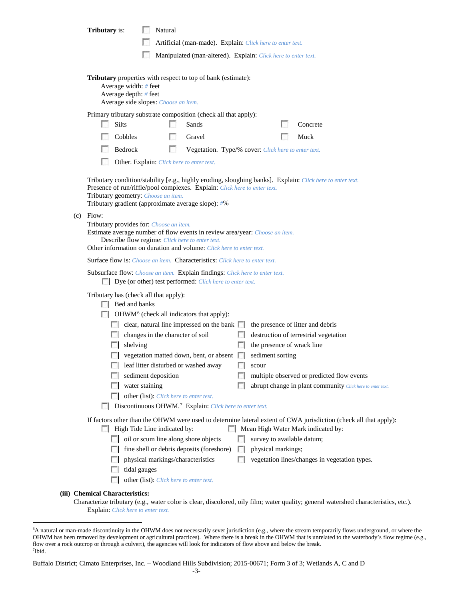| <b>Tributary</b> is:                                                                                                                                                                    |                                                                                          | Natural        |                                                                                                                                 |              |                                                                                           |                                                                                                           |  |  |  |
|-----------------------------------------------------------------------------------------------------------------------------------------------------------------------------------------|------------------------------------------------------------------------------------------|----------------|---------------------------------------------------------------------------------------------------------------------------------|--------------|-------------------------------------------------------------------------------------------|-----------------------------------------------------------------------------------------------------------|--|--|--|
|                                                                                                                                                                                         |                                                                                          |                |                                                                                                                                 |              | Artificial (man-made). Explain: Click here to enter text.                                 |                                                                                                           |  |  |  |
|                                                                                                                                                                                         |                                                                                          |                |                                                                                                                                 |              |                                                                                           |                                                                                                           |  |  |  |
| Manipulated (man-altered). Explain: Click here to enter text.                                                                                                                           |                                                                                          |                |                                                                                                                                 |              |                                                                                           |                                                                                                           |  |  |  |
|                                                                                                                                                                                         | Average width: # feet<br>Average depth: $#$ feet<br>Average side slopes: Choose an item. |                | <b>Tributary</b> properties with respect to top of bank (estimate):                                                             |              |                                                                                           |                                                                                                           |  |  |  |
|                                                                                                                                                                                         |                                                                                          |                | Primary tributary substrate composition (check all that apply):                                                                 |              |                                                                                           |                                                                                                           |  |  |  |
| Silts                                                                                                                                                                                   |                                                                                          |                | Sands                                                                                                                           |              |                                                                                           | Concrete                                                                                                  |  |  |  |
|                                                                                                                                                                                         | Cobbles                                                                                  | L.             | Gravel                                                                                                                          |              |                                                                                           | Muck                                                                                                      |  |  |  |
|                                                                                                                                                                                         | Bedrock                                                                                  | <b>COLLEGE</b> |                                                                                                                                 |              | Vegetation. Type/% cover: Click here to enter text.                                       |                                                                                                           |  |  |  |
|                                                                                                                                                                                         | Other. Explain: Click here to enter text.                                                |                |                                                                                                                                 |              |                                                                                           |                                                                                                           |  |  |  |
|                                                                                                                                                                                         | Tributary geometry: Choose an item.                                                      |                | Presence of run/riffle/pool complexes. Explain: Click here to enter text.<br>Tributary gradient (approximate average slope): #% |              |                                                                                           | Tributary condition/stability [e.g., highly eroding, sloughing banks]. Explain: Click here to enter text. |  |  |  |
| $(c)$ Flow:<br>Tributary provides for: Choose an item.                                                                                                                                  |                                                                                          |                | Describe flow regime: Click here to enter text.<br>Other information on duration and volume: Click here to enter text.          |              | Estimate average number of flow events in review area/year: Choose an item.               |                                                                                                           |  |  |  |
|                                                                                                                                                                                         |                                                                                          |                | Surface flow is: Choose an item. Characteristics: Click here to enter text.                                                     |              |                                                                                           |                                                                                                           |  |  |  |
|                                                                                                                                                                                         |                                                                                          |                | Dye (or other) test performed: Click here to enter text.                                                                        |              | Subsurface flow: Choose an item. Explain findings: Click here to enter text.              |                                                                                                           |  |  |  |
|                                                                                                                                                                                         | Tributary has (check all that apply):<br>$\Box$ Bed and banks                            |                | $\Box$ OHWM <sup>6</sup> (check all indicators that apply):                                                                     |              |                                                                                           |                                                                                                           |  |  |  |
|                                                                                                                                                                                         |                                                                                          |                |                                                                                                                                 |              | $\Box$ clear, natural line impressed on the bank $\Box$ the presence of litter and debris |                                                                                                           |  |  |  |
|                                                                                                                                                                                         | $\Box$ changes in the character of soil                                                  |                |                                                                                                                                 | $\mathbb{R}$ |                                                                                           | destruction of terrestrial vegetation                                                                     |  |  |  |
|                                                                                                                                                                                         | shelving                                                                                 |                |                                                                                                                                 | <b>ICE</b>   | the presence of wrack line                                                                |                                                                                                           |  |  |  |
|                                                                                                                                                                                         |                                                                                          |                |                                                                                                                                 |              | vegetation matted down, bent, or absent sediment sorting                                  |                                                                                                           |  |  |  |
|                                                                                                                                                                                         |                                                                                          |                | leaf litter disturbed or washed away                                                                                            |              | scour                                                                                     |                                                                                                           |  |  |  |
|                                                                                                                                                                                         | sediment deposition                                                                      |                |                                                                                                                                 |              |                                                                                           | multiple observed or predicted flow events                                                                |  |  |  |
|                                                                                                                                                                                         | water staining                                                                           |                |                                                                                                                                 |              |                                                                                           | abrupt change in plant community Click here to enter text.                                                |  |  |  |
| other (list): Click here to enter text.                                                                                                                                                 |                                                                                          |                |                                                                                                                                 |              |                                                                                           |                                                                                                           |  |  |  |
| Discontinuous OHWM. <sup>7</sup> Explain: Click here to enter text.<br>If factors other than the OHWM were used to determine lateral extent of CWA jurisdiction (check all that apply): |                                                                                          |                |                                                                                                                                 |              |                                                                                           |                                                                                                           |  |  |  |
|                                                                                                                                                                                         | High Tide Line indicated by:                                                             |                |                                                                                                                                 |              |                                                                                           | Mean High Water Mark indicated by:                                                                        |  |  |  |
|                                                                                                                                                                                         |                                                                                          |                | oil or scum line along shore objects                                                                                            |              | survey to available datum;                                                                |                                                                                                           |  |  |  |
|                                                                                                                                                                                         |                                                                                          |                | fine shell or debris deposits (foreshore)                                                                                       |              | physical markings;                                                                        |                                                                                                           |  |  |  |
|                                                                                                                                                                                         | physical markings/characteristics                                                        |                |                                                                                                                                 |              |                                                                                           | vegetation lines/changes in vegetation types.                                                             |  |  |  |
|                                                                                                                                                                                         | tidal gauges                                                                             |                |                                                                                                                                 |              |                                                                                           |                                                                                                           |  |  |  |
|                                                                                                                                                                                         | other (list): Click here to enter text.                                                  |                |                                                                                                                                 |              |                                                                                           |                                                                                                           |  |  |  |
| (iii) Chemical Characteristics:                                                                                                                                                         |                                                                                          |                |                                                                                                                                 |              |                                                                                           |                                                                                                           |  |  |  |

Characterize tributary (e.g., water color is clear, discolored, oily film; water quality; general watershed characteristics, etc.). Explain: *Click here to enter text.*

<span id="page-19-1"></span>Buffalo District; Cimato Enterprises, Inc. – Woodland Hills Subdivision; 2015-00671; Form 3 of 3; Wetlands A, C and D

<span id="page-19-0"></span> <sup>6</sup> <sup>6</sup>A natural or man-made discontinuity in the OHWM does not necessarily sever jurisdiction (e.g., where the stream temporarily flows underground, or where the OHWM has been removed by development or agricultural practices). Where there is a break in the OHWM that is unrelated to the waterbody's flow regime (e.g., flow over a rock outcrop or through a culvert), the agencies will look for indicators of flow above and below the break. 7 Ibid.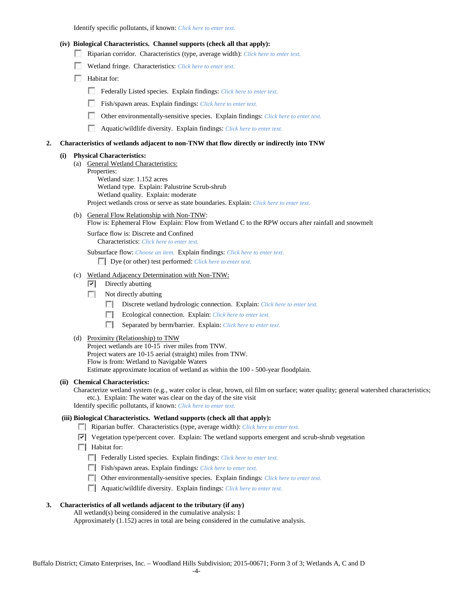Identify specific pollutants, if known: *Click here to enter text.*

#### **(iv) Biological Characteristics. Channel supports (check all that apply):**

- Riparian corridor. Characteristics (type, average width): *Click here to enter text.*
- Wetland fringe. Characteristics: *Click here to enter text.*
- **Habitat for:** 
	- Federally Listed species. Explain findings: *Click here to enter text.*
	- Fish/spawn areas. Explain findings: *Click here to enter text.*
	- Other environmentally-sensitive species. Explain findings: *Click here to enter text.*
	- m Aquatic/wildlife diversity. Explain findings: *Click here to enter text.*

#### **2. Characteristics of wetlands adjacent to non-TNW that flow directly or indirectly into TNW**

#### **(i) Physical Characteristics:**

- (a) General Wetland Characteristics: Properties: Wetland size: 1.152 acres Wetland type. Explain: Palustrine Scrub-shrub Wetland quality. Explain: moderate Project wetlands cross or serve as state boundaries. Explain: *Click here to enter text.*
- (b) General Flow Relationship with Non-TNW: Flow is: Ephemeral Flow Explain: Flow from Wetland C to the RPW occurs after rainfall and snowmelt

Surface flow is: Discrete and Confined Characteristics: *Click here to enter text.*

Subsurface flow: *Choose an item.* Explain findings: *Click here to enter text.* Dye (or other) test performed: *Click here to enter text.*

### (c) Wetland Adjacency Determination with Non-TNW:

- $\nabla$  Directly abutting
- Not directly abutting
	- Discrete wetland hydrologic connection. Explain: *Click here to enter text.*
	- **COLLEGE** Ecological connection. Explain: *Click here to enter text.*
	- $\sim$ Separated by berm/barrier. Explain: *Click here to enter text.*
- (d) Proximity (Relationship) to TNW

Project wetlands are 10-15 river miles from TNW. Project waters are 10-15 aerial (straight) miles from TNW. Flow is from: Wetland to Navigable Waters Estimate approximate location of wetland as within the 100 - 500-year floodplain.

#### **(ii) Chemical Characteristics:**

Characterize wetland system (e.g., water color is clear, brown, oil film on surface; water quality; general watershed characteristics; etc.). Explain: The water was clear on the day of the site visit

Identify specific pollutants, if known: *Click here to enter text.*

### **(iii) Biological Characteristics. Wetland supports (check all that apply):**

- Riparian buffer. Characteristics (type, average width): *Click here to enter text.*
- Vegetation type/percent cover. Explain: The wetland supports emergent and scrub-shrub vegetation
- $\Box$  Habitat for:
	- Federally Listed species. Explain findings: *Click here to enter text.*
	- Fish/spawn areas. Explain findings: *Click here to enter text.*
	- Other environmentally-sensitive species. Explain findings: *Click here to enter text.*
	- Aquatic/wildlife diversity. Explain findings: *Click here to enter text.*

#### **3. Characteristics of all wetlands adjacent to the tributary (if any)**

All wetland(s) being considered in the cumulative analysis: 1 Approximately (1.152) acres in total are being considered in the cumulative analysis.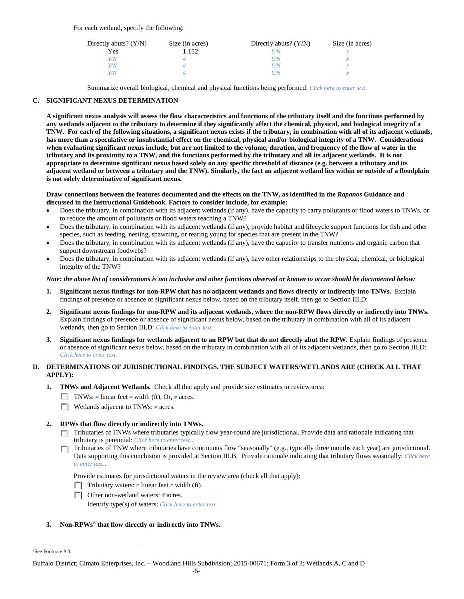For each wetland, specify the following:

| Directly abuts? $(Y/N)$ | Size (in acres) | Directly abuts? $(Y/N)$ | Size (in acres) |
|-------------------------|-----------------|-------------------------|-----------------|
| Yes                     | . . 152         | Y/N                     |                 |
| Y/N                     |                 | Y/N                     |                 |
| Y/N                     |                 | Y/N                     |                 |
| Y/N                     |                 | Y/N                     |                 |

Summarize overall biological, chemical and physical functions being performed: *Click here to enter text.*

# **C. SIGNIFICANT NEXUS DETERMINATION**

**A significant nexus analysis will assess the flow characteristics and functions of the tributary itself and the functions performed by any wetlands adjacent to the tributary to determine if they significantly affect the chemical, physical, and biological integrity of a TNW. For each of the following situations, a significant nexus exists if the tributary, in combination with all of its adjacent wetlands, has more than a speculative or insubstantial effect on the chemical, physical and/or biological integrity of a TNW. Considerations when evaluating significant nexus include, but are not limited to the volume, duration, and frequency of the flow of water in the tributary and its proximity to a TNW, and the functions performed by the tributary and all its adjacent wetlands. It is not appropriate to determine significant nexus based solely on any specific threshold of distance (e.g. between a tributary and its adjacent wetland or between a tributary and the TNW). Similarly, the fact an adjacent wetland lies within or outside of a floodplain is not solely determinative of significant nexus.** 

### **Draw connections between the features documented and the effects on the TNW, as identified in the** *Rapanos* **Guidance and discussed in the Instructional Guidebook. Factors to consider include, for example:**

- Does the tributary, in combination with its adjacent wetlands (if any), have the capacity to carry pollutants or flood waters to TNWs, or to reduce the amount of pollutants or flood waters reaching a TNW?
- Does the tributary, in combination with its adjacent wetlands (if any), provide habitat and lifecycle support functions for fish and other species, such as feeding, nesting, spawning, or rearing young for species that are present in the TNW?
- Does the tributary, in combination with its adjacent wetlands (if any), have the capacity to transfer nutrients and organic carbon that support downstream foodwebs?
- Does the tributary, in combination with its adjacent wetlands (if any), have other relationships to the physical, chemical, or biological integrity of the TNW?

### *Note: the above list of considerations is not inclusive and other functions observed or known to occur should be documented below:*

- **1. Significant nexus findings for non-RPW that has no adjacent wetlands and flows directly or indirectly into TNWs.** Explain findings of presence or absence of significant nexus below, based on the tributary itself, then go to Section III.D:
- **2. Significant nexus findings for non-RPW and its adjacent wetlands, where the non-RPW flows directly or indirectly into TNWs.**  Explain findings of presence or absence of significant nexus below, based on the tributary in combination with all of its adjacent wetlands, then go to Section III.D: *Click here to enter text.*
- **3. Significant nexus findings for wetlands adjacent to an RPW but that do not directly abut the RPW.** Explain findings of presence or absence of significant nexus below, based on the tributary in combination with all of its adjacent wetlands, then go to Section III.D: *Click here to enter text.*

## **D. DETERMINATIONS OF JURISDICTIONAL FINDINGS. THE SUBJECT WATERS/WETLANDS ARE (CHECK ALL THAT APPLY):**

- **1. TNWs and Adjacent Wetlands.** Check all that apply and provide size estimates in review area:
	- TNWs: *#* linear feet *#* width (ft), Or, *#* acres.
	- **Wetlands adjacent to TNWs: # acres.**
- **2. RPWs that flow directly or indirectly into TNWs.**
	- Tributaries of TNWs where tributaries typically flow year-round are jurisdictional. Provide data and rationale indicating that tributary is perennial: *Click here to enter text.*.
	- Tributaries of TNW where tributaries have continuous flow "seasonally" (e.g., typically three months each year) are jurisdictional. Data supporting this conclusion is provided at Section III.B. Provide rationale indicating that tributary flows seasonally: *Click here to enter text.*.

Provide estimates for jurisdictional waters in the review area (check all that apply):

- **Tributary waters:** # linear feet # width (ft).
- Other non-wetland waters: *#* acres.

Identify type(s) of waters: *Click here to enter text.*

## **3. Non-RPWs[8](#page-21-0) that flow directly or indirectly into TNWs.**

<span id="page-21-0"></span> $\frac{1}{8}$ See Footnote # 3.

Buffalo District; Cimato Enterprises, Inc. – Woodland Hills Subdivision; 2015-00671; Form 3 of 3; Wetlands A, C and D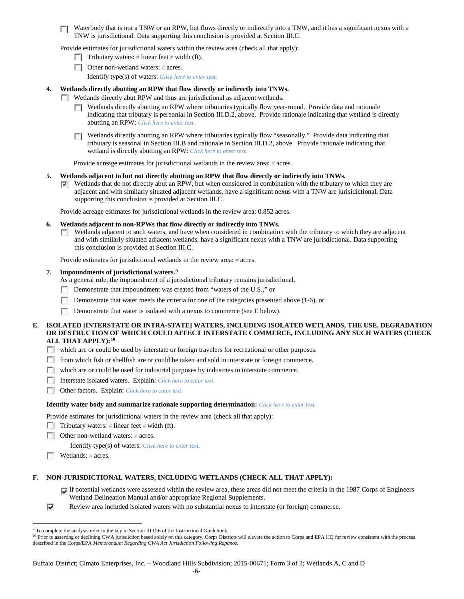$\Box$  Waterbody that is not a TNW or an RPW, but flows directly or indirectly into a TNW, and it has a significant nexus with a TNW is jurisdictional. Data supporting this conclusion is provided at Section III.C.

Provide estimates for jurisdictional waters within the review area (check all that apply):

- Tributary waters: # linear feet # width (ft).
- Other non-wetland waters: *#* acres.

Identify type(s) of waters: *Click here to enter text.*

### **4. Wetlands directly abutting an RPW that flow directly or indirectly into TNWs.**

- Wetlands directly abut RPW and thus are jurisdictional as adjacent wetlands.
	- **T** Wetlands directly abutting an RPW where tributaries typically flow year-round. Provide data and rationale indicating that tributary is perennial in Section III.D.2, above. Provide rationale indicating that wetland is directly abutting an RPW: *Click here to enter text.*
	- Wetlands directly abutting an RPW where tributaries typically flow "seasonally." Provide data indicating that tributary is seasonal in Section III.B and rationale in Section III.D.2, above. Provide rationale indicating that wetland is directly abutting an RPW: *Click here to enter text.*

Provide acreage estimates for jurisdictional wetlands in the review area: *#* acres.

- **5. Wetlands adjacent to but not directly abutting an RPW that flow directly or indirectly into TNWs.**
	- $\nabla$  Wetlands that do not directly abut an RPW, but when considered in combination with the tributary to which they are adjacent and with similarly situated adjacent wetlands, have a significant nexus with a TNW are jurisidictional. Data supporting this conclusion is provided at Section III.C.

Provide acreage estimates for jurisdictional wetlands in the review area: 0.852 acres.

### **6. Wetlands adjacent to non-RPWs that flow directly or indirectly into TNWs.**

**Netlands adjacent to such waters, and have when considered in combination with the tributary to which they are adjacent** and with similarly situated adjacent wetlands, have a significant nexus with a TNW are jurisdictional. Data supporting this conclusion is provided at Section III.C.

Provide estimates for jurisdictional wetlands in the review area: *#* acres.

### **7. Impoundments of jurisdictional waters. [9](#page-22-0)**

As a general rule, the impoundment of a jurisdictional tributary remains jurisdictional.

- Demonstrate that impoundment was created from "waters of the U.S.," or п.
- Demonstrate that water meets the criteria for one of the categories presented above (1-6), or  $\sim$
- $\sim$ Demonstrate that water is isolated with a nexus to commerce (see E below).

### **E. ISOLATED [INTERSTATE OR INTRA-STATE] WATERS, INCLUDING ISOLATED WETLANDS, THE USE, DEGRADATION OR DESTRUCTION OF WHICH COULD AFFECT INTERSTATE COMMERCE, INCLUDING ANY SUCH WATERS (CHECK ALL THAT APPLY):[10](#page-22-1)**

which are or could be used by interstate or foreign travelers for recreational or other purposes.

- **F** from which fish or shellfish are or could be taken and sold in interstate or foreign commerce.
- which are or could be used for industrial purposes by industries in interstate commerce.
- Interstate isolated waters.Explain: *Click here to enter text.*
- Other factors.Explain: *Click here to enter text.*

#### **Identify water body and summarize rationale supporting determination:** *Click here to enter text.*

Provide estimates for jurisdictional waters in the review area (check all that apply):

- **Tributary waters:**  $\#$  linear feet  $\#$  width (ft).
- Other non-wetland waters: *#* acres.

Identify type(s) of waters: *Click here to enter text.*

Wetlands: # acres.

## **F. NON-JURISDICTIONAL WATERS, INCLUDING WETLANDS (CHECK ALL THAT APPLY):**

- If potential wetlands were assessed within the review area, these areas did not meet the criteria in the 1987 Corps of Engineers Wetland Delineation Manual and/or appropriate Regional Supplements.
- ⊽ Review area included isolated waters with no substantial nexus to interstate (or foreign) commerce.

<span id="page-22-1"></span><span id="page-22-0"></span><sup>&</sup>lt;sup>9</sup> To complete the analysis refer to the key in Section III.D.6 of the Instructional Guidebook.<br><sup>10</sup> Prior to asserting or declining CWA jurisdiction based solely on this category, Corps Districts will elevate the action described in the Corps/EPA *Memorandum Regarding CWA Act Jurisdiction Following Rapanos.*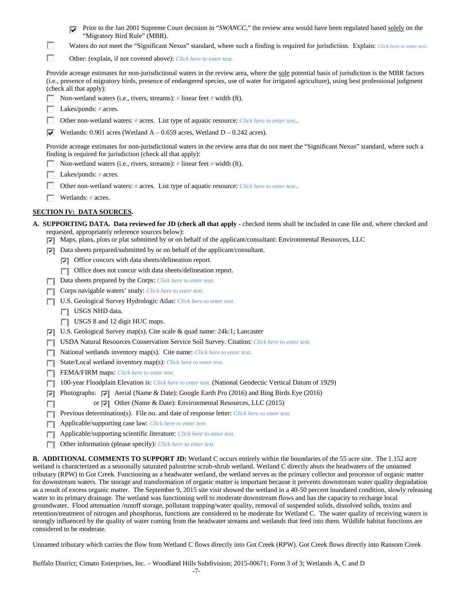| <b>From</b> Prior to the Jan 2001 Supreme Court decision in "SWANCC," the review area would have been regulated based solely on the |
|-------------------------------------------------------------------------------------------------------------------------------------|
| "Migratory Bird Rule" (MBR).                                                                                                        |

- F Waters do not meet the "Significant Nexus" standard, where such a finding is required for jurisdiction. Explain: Click here to enter text.
- $\overline{\phantom{a}}$ Other: (explain, if not covered above): *Click here to enter text.*

Provide acreage estimates for non-jurisdictional waters in the review area, where the sole potential basis of jurisdiction is the MBR factors (i.e., presence of migratory birds, presence of endangered species, use of water for irrigated agriculture), using best professional judgment (check all that apply):

- Non-wetland waters (i.e., rivers, streams): *#* linear feet *#* width (ft).
- Lakes/ponds: # acres.
- $\sim$ Other non-wetland waters: *#* acres. List type of aquatic resource: *Click here to enter text.*.
- Wetlands: 0.901 acres (Wetland  $A 0.659$  acres, Wetland  $D 0.242$  acres).

Provide acreage estimates for non-jurisdictional waters in the review area that do not meet the "Significant Nexus" standard, where such a finding is required for jurisdiction (check all that apply):

- Non-wetland waters (i.e., rivers, streams): *#* linear feet *#* width (ft).
- Lakes/ponds: # acres.
- Other non-wetland waters: *#* acres. List type of aquatic resource: *Click here to enter text.*.
- Wetlands: *#* acres.

## **SECTION IV: DATA SOURCES.**

- **A. SUPPORTING DATA. Data reviewed for JD (check all that apply -** checked items shall be included in case file and, where checked and requested, appropriately reference sources below):
	- Maps, plans, plots or plat submitted by or on behalf of the applicant/consultant: Environmental Resources, LLC
	- Data sheets prepared/submitted by or on behalf of the applicant/consultant.
		- $\triangledown$  Office concurs with data sheets/delineation report.
		- Office does not concur with data sheets/delineation report.
	- Data sheets prepared by the Corps: *Click here to enter text.*
	- Corps navigable waters' study: *Click here to enter text.*
	- U.S. Geological Survey Hydrologic Atlas: *Click here to enter text.*
		- USGS NHD data.

П

- USGS 8 and 12 digit HUC maps.
- $\overline{\phantom{a}}$ U.S. Geological Survey map(s). Cite scale & quad name: 24k:1; Lancaster
- USDA Natural Resources Conservation Service Soil Survey. Citation: *Click here to enter text.* L.
- National wetlands inventory map(s). Cite name: *Click here to enter text.* L.
- State/Local wetland inventory map(s): *Click here to enter text.*  $\Box$
- FEMA/FIRM maps: *Click here to enter text.*  $\sim$
- 100-year Floodplain Elevation is: *Click here to enter text.* (National Geodectic Vertical Datum of 1929)  $\Box$
- Photographs: Aerial (Name & Date): Google Earth Pro (2016) and Bing Birds Eye (2016)  $\overline{\mathbf{v}}$ 
	- or  $\overline{V}$  Other (Name & Date): Environmental Resources, LLC (2015)
- **Previous determination(s). File no. and date of response letter:** *Click here to enter text.*
- Applicable/supporting case law: *Click here to enter text.*  $\Box$
- Applicable/supporting scientific literature: *Click here to enter text.* п
- Other information (please specify): *Click here to enter text.* п

**B. ADDITIONAL COMMENTS TO SUPPORT JD:** Wetland C occurs entirely within the boundaries of the 55 acre site. The 1.152 acre wetland is characterized as a seasonally saturated palustrine scrub-shrub wetland. Wetland C directly abuts the headwaters of the unnamed tributary (RPW) to Got Creek. Functioning as a headwater wetland, the wetland serves as the primary collector and processor of organic matter for downstream waters. The storage and transformation of organic matter is important because it prevents downstream water quality degradation as a result of excess organic matter. The September 9, 2015 site visit showed the wetland in a 40-50 percent inundated condition, slowly releasing water to its primary drainage. The wetland was functioning well to moderate downstream flows and has the capacity to recharge local groundwater. Flood attenuation /runoff storage, pollutant trapping/water quality, removal of suspended solids, dissolved solids, toxins and retention/treatment of nitrogen and phosphorus, functions are considered to be moderate for Wetland C. The water quality of receiving waters is strongly influenced by the quality of water coming from the headwater streams and wetlands that feed into them. Wildlife habitat functions are considered to be moderate.

Unnamed tributary which carries the flow from Wetland C flows directly into Got Creek (RPW). Got Creek flows directly into Ransom Creek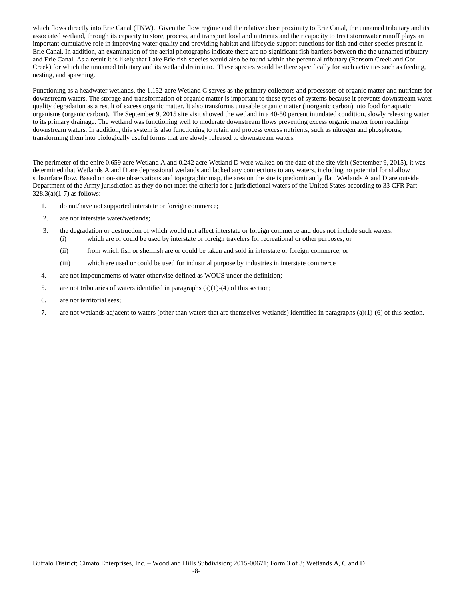which flows directly into Erie Canal (TNW). Given the flow regime and the relative close proximity to Erie Canal, the unnamed tributary and its associated wetland, through its capacity to store, process, and transport food and nutrients and their capacity to treat stormwater runoff plays an important cumulative role in improving water quality and providing habitat and lifecycle support functions for fish and other species present in Erie Canal. In addition, an examination of the aerial photographs indicate there are no significant fish barriers between the the unnamed tributary and Erie Canal. As a result it is likely that Lake Erie fish species would also be found within the perennial tributary (Ransom Creek and Got Creek) for which the unnamed tributary and its wetland drain into. These species would be there specifically for such activities such as feeding, nesting, and spawning.

Functioning as a headwater wetlands, the 1.152-acre Wetland C serves as the primary collectors and processors of organic matter and nutrients for downstream waters. The storage and transformation of organic matter is important to these types of systems because it prevents downstream water quality degradation as a result of excess organic matter. It also transforms unusable organic matter (inorganic carbon) into food for aquatic organisms (organic carbon). The September 9, 2015 site visit showed the wetland in a 40-50 percent inundated condition, slowly releasing water to its primary drainage. The wetland was functioning well to moderate downstream flows preventing excess organic matter from reaching downstream waters. In addition, this system is also functioning to retain and process excess nutrients, such as nitrogen and phosphorus, transforming them into biologically useful forms that are slowly released to downstream waters.

The perimeter of the enire 0.659 acre Wetland A and 0.242 acre Wetland D were walked on the date of the site visit (September 9, 2015), it was determined that Wetlands A and D are depressional wetlands and lacked any connections to any waters, including no potential for shallow subsurface flow. Based on on-site observations and topographic map, the area on the site is predominantly flat. Wetlands A and D are outside Department of the Army jurisdiction as they do not meet the criteria for a jurisdictional waters of the United States according to 33 CFR Part  $328.3(a)(1-7)$  as follows:

- 1. do not/have not supported interstate or foreign commerce;
- 2. are not interstate water/wetlands;
- 3. the degradation or destruction of which would not affect interstate or foreign commerce and does not include such waters: (i) which are or could be used by interstate or foreign travelers for recreational or other purposes; or
	- (ii) from which fish or shellfish are or could be taken and sold in interstate or foreign commerce; or
	- (iii) which are used or could be used for industrial purpose by industries in interstate commerce
- 4. are not impoundments of water otherwise defined as WOUS under the definition;
- 5. are not tributaries of waters identified in paragraphs (a)(1)-(4) of this section;
- 6. are not territorial seas;
- 7. are not wetlands adjacent to waters (other than waters that are themselves wetlands) identified in paragraphs (a)(1)-(6) of this section.